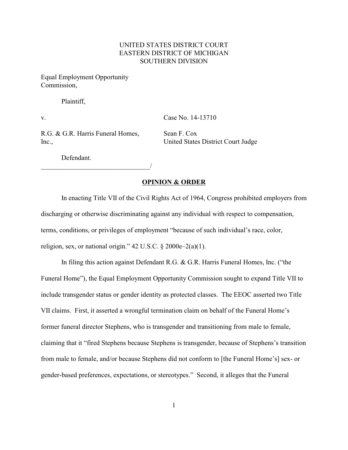# UNITED STATES DISTRICT COURT EASTERN DISTRICT OF MICHIGAN SOUTHERN DIVISION

Equal Employment Opportunity Commission,

Plaintiff,

v. Case No. 14-13710

R.G. & G.R. Harris Funeral Homes, Sean F. Cox Inc., United States District Court Judge

\_\_\_\_\_\_\_\_\_\_\_\_\_\_\_\_\_\_\_\_\_\_\_\_\_\_\_\_\_\_\_\_/

Defendant.

### **OPINION & ORDER**

In enacting Title VII of the Civil Rights Act of 1964, Congress prohibited employers from discharging or otherwise discriminating against any individual with respect to compensation, terms, conditions, or privileges of employment "because of such individual's race, color, religion, sex, or national origin."  $42 \text{ U.S.C. }$ §  $2000e-2(a)(1)$ .

In filing this action against Defendant R.G. & G.R. Harris Funeral Homes, Inc. ("the Funeral Home"), the Equal Employment Opportunity Commission sought to expand Title VII to include transgender status or gender identity as protected classes. The EEOC asserted two Title VII claims. First, it asserted a wrongful termination claim on behalf of the Funeral Home's former funeral director Stephens, who is transgender and transitioning from male to female, claiming that it "fired Stephens because Stephens is transgender, because of Stephens's transition from male to female, and/or because Stephens did not conform to [the Funeral Home's] sex- or gender-based preferences, expectations, or stereotypes." Second, it alleges that the Funeral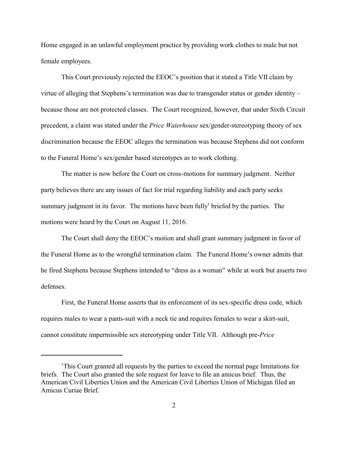Home engaged in an unlawful employment practice by providing work clothes to male but not female employees.

This Court previously rejected the EEOC's position that it stated a Title VII claim by virtue of alleging that Stephens's termination was due to transgender status or gender identity – because those are not protected classes. The Court recognized, however, that under Sixth Circuit precedent, a claim was stated under the *Price Waterhouse* sex/gender-stereotyping theory of sex discrimination because the EEOC alleges the termination was because Stephens did not conform to the Funeral Home's sex/gender based stereotypes as to work clothing.

The matter is now before the Court on cross-motions for summary judgment. Neither party believes there are any issues of fact for trial regarding liability and each party seeks summary judgment in its favor. The motions have been fully<sup> $1$ </sup> briefed by the parties. The motions were heard by the Court on August 11, 2016.

The Court shall deny the EEOC's motion and shall grant summary judgment in favor of the Funeral Home as to the wrongful termination claim. The Funeral Home's owner admits that he fired Stephens because Stephens intended to "dress as a woman" while at work but asserts two defenses.

First, the Funeral Home asserts that its enforcement of its sex-specific dress code, which requires males to wear a pants-suit with a neck tie and requires females to wear a skirt-suit, cannot constitute impermissible sex stereotyping under Title VII. Although pre-*Price*

<sup>&</sup>lt;sup>1</sup>This Court granted all requests by the parties to exceed the normal page limitations for briefs. The Court also granted the sole request for leave to file an amicus brief. Thus, the American Civil Liberties Union and the American Civil Liberties Union of Michigan filed an Amicus Curiae Brief.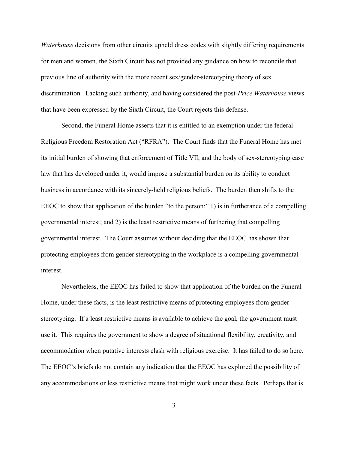*Waterhouse* decisions from other circuits upheld dress codes with slightly differing requirements for men and women, the Sixth Circuit has not provided any guidance on how to reconcile that previous line of authority with the more recent sex/gender-stereotyping theory of sex discrimination. Lacking such authority, and having considered the post-*Price Waterhouse* views that have been expressed by the Sixth Circuit, the Court rejects this defense.

Second, the Funeral Home asserts that it is entitled to an exemption under the federal Religious Freedom Restoration Act ("RFRA"). The Court finds that the Funeral Home has met its initial burden of showing that enforcement of Title VII, and the body of sex-stereotyping case law that has developed under it, would impose a substantial burden on its ability to conduct business in accordance with its sincerely-held religious beliefs. The burden then shifts to the EEOC to show that application of the burden "to the person:" 1) is in furtherance of a compelling governmental interest; and 2) is the least restrictive means of furthering that compelling governmental interest*.* The Court assumes without deciding that the EEOC has shown that protecting employees from gender stereotyping in the workplace is a compelling governmental interest.

Nevertheless, the EEOC has failed to show that application of the burden on the Funeral Home, under these facts, is the least restrictive means of protecting employees from gender stereotyping. If a least restrictive means is available to achieve the goal, the government must use it. This requires the government to show a degree of situational flexibility, creativity, and accommodation when putative interests clash with religious exercise. It has failed to do so here. The EEOC's briefs do not contain any indication that the EEOC has explored the possibility of any accommodations or less restrictive means that might work under these facts. Perhaps that is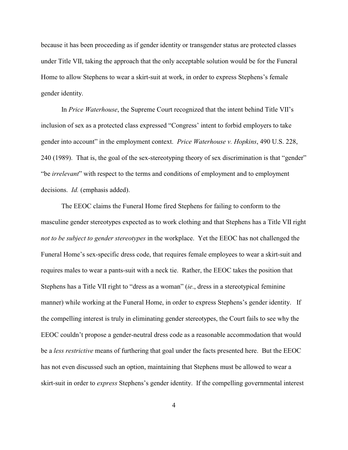because it has been proceeding as if gender identity or transgender status are protected classes under Title VII, taking the approach that the only acceptable solution would be for the Funeral Home to allow Stephens to wear a skirt-suit at work, in order to express Stephens's female gender identity.

In *Price Waterhouse*, the Supreme Court recognized that the intent behind Title VII's inclusion of sex as a protected class expressed "Congress' intent to forbid employers to take gender into account" in the employment context. *Price Waterhouse v. Hopkins*, 490 U.S. 228, 240 (1989). That is, the goal of the sex-stereotyping theory of sex discrimination is that "gender" "be *irrelevant*" with respect to the terms and conditions of employment and to employment decisions. *Id.* (emphasis added).

The EEOC claims the Funeral Home fired Stephens for failing to conform to the masculine gender stereotypes expected as to work clothing and that Stephens has a Title VII right *not to be subject to gender stereotypes* in the workplace. Yet the EEOC has not challenged the Funeral Home's sex-specific dress code, that requires female employees to wear a skirt-suit and requires males to wear a pants-suit with a neck tie. Rather, the EEOC takes the position that Stephens has a Title VII right to "dress as a woman" (*ie*., dress in a stereotypical feminine manner) while working at the Funeral Home, in order to express Stephens's gender identity. If the compelling interest is truly in eliminating gender stereotypes, the Court fails to see why the EEOC couldn't propose a gender-neutral dress code as a reasonable accommodation that would be a *less restrictive* means of furthering that goal under the facts presented here. But the EEOC has not even discussed such an option, maintaining that Stephens must be allowed to wear a skirt-suit in order to *express* Stephens's gender identity. If the compelling governmental interest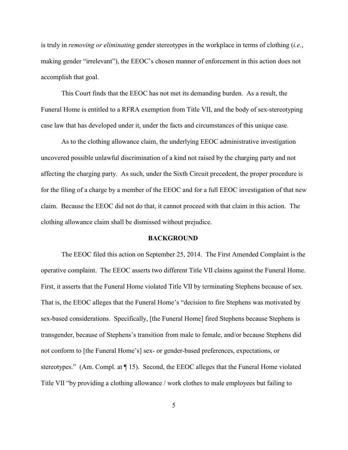is truly in *removing or eliminating* gender stereotypes in the workplace in terms of clothing (*i.e*., making gender "irrelevant"), the EEOC's chosen manner of enforcement in this action does not accomplish that goal.

This Court finds that the EEOC has not met its demanding burden. As a result, the Funeral Home is entitled to a RFRA exemption from Title VII, and the body of sex-stereotyping case law that has developed under it, under the facts and circumstances of this unique case.

As to the clothing allowance claim, the underlying EEOC administrative investigation uncovered possible unlawful discrimination of a kind not raised by the charging party and not affecting the charging party. As such, under the Sixth Circuit precedent, the proper procedure is for the filing of a charge by a member of the EEOC and for a full EEOC investigation of that new claim. Because the EEOC did not do that, it cannot proceed with that claim in this action. The clothing allowance claim shall be dismissed without prejudice.

### **BACKGROUND**

The EEOC filed this action on September 25, 2014. The First Amended Complaint is the operative complaint. The EEOC asserts two different Title VII claims against the Funeral Home. First, it asserts that the Funeral Home violated Title VII by terminating Stephens because of sex. That is, the EEOC alleges that the Funeral Home's "decision to fire Stephens was motivated by sex-based considerations. Specifically, [the Funeral Home] fired Stephens because Stephens is transgender, because of Stephens's transition from male to female, and/or because Stephens did not conform to [the Funeral Home's] sex- or gender-based preferences, expectations, or stereotypes." (Am. Compl. at ¶ 15). Second, the EEOC alleges that the Funeral Home violated Title VII "by providing a clothing allowance / work clothes to male employees but failing to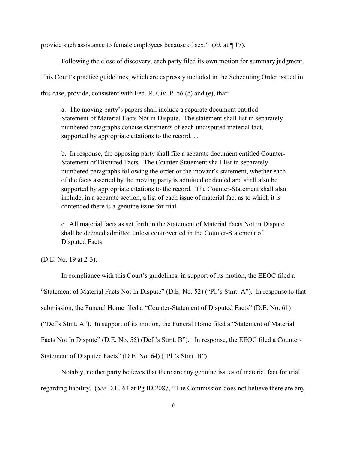provide such assistance to female employees because of sex." (*Id.* at ¶ 17).

Following the close of discovery, each party filed its own motion for summary judgment. This Court's practice guidelines, which are expressly included in the Scheduling Order issued in this case, provide, consistent with Fed. R. Civ. P. 56 (c) and (e), that:

a. The moving party's papers shall include a separate document entitled Statement of Material Facts Not in Dispute. The statement shall list in separately numbered paragraphs concise statements of each undisputed material fact, supported by appropriate citations to the record. . .

b. In response, the opposing party shall file a separate document entitled Counter-Statement of Disputed Facts. The Counter-Statement shall list in separately numbered paragraphs following the order or the movant's statement, whether each of the facts asserted by the moving party is admitted or denied and shall also be supported by appropriate citations to the record. The Counter-Statement shall also include, in a separate section, a list of each issue of material fact as to which it is contended there is a genuine issue for trial.

c. All material facts as set forth in the Statement of Material Facts Not in Dispute shall be deemed admitted unless controverted in the Counter-Statement of Disputed Facts.

(D.E. No. 19 at 2-3).

In compliance with this Court's guidelines, in support of its motion, the EEOC filed a "Statement of Material Facts Not In Dispute" (D.E. No. 52) ("Pl.'s Stmt. A"). In response to that submission, the Funeral Home filed a "Counter-Statement of Disputed Facts" (D.E. No. 61) ("Def's Stmt. A"). In support of its motion, the Funeral Home filed a "Statement of Material Facts Not In Dispute" (D.E. No. 55) (Def.'s Stmt. B"). In response, the EEOC filed a Counter-Statement of Disputed Facts" (D.E. No. 64) ("Pl.'s Stmt. B").

Notably, neither party believes that there are any genuine issues of material fact for trial regarding liability. (*See* D.E. 64 at Pg ID 2087, "The Commission does not believe there are any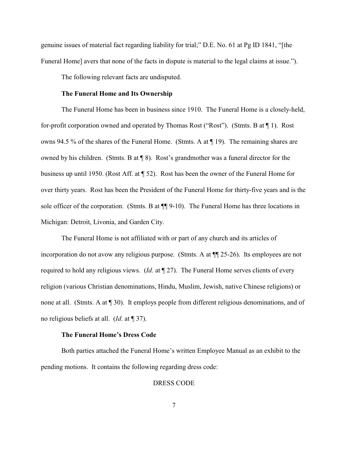genuine issues of material fact regarding liability for trial;" D.E. No. 61 at Pg ID 1841, "[the Funeral Home] avers that none of the facts in dispute is material to the legal claims at issue.").

The following relevant facts are undisputed.

## **The Funeral Home and Its Ownership**

The Funeral Home has been in business since 1910. The Funeral Home is a closely-held, for-profit corporation owned and operated by Thomas Rost ("Rost"). (Stmts. B at ¶ 1). Rost owns 94.5 % of the shares of the Funeral Home. (Stmts. A at ¶ 19). The remaining shares are owned by his children. (Stmts. B at ¶ 8). Rost's grandmother was a funeral director for the business up until 1950. (Rost Aff. at ¶ 52). Rost has been the owner of the Funeral Home for over thirty years. Rost has been the President of the Funeral Home for thirty-five years and is the sole officer of the corporation. (Stmts. B at  $\P$ ] 9-10). The Funeral Home has three locations in Michigan: Detroit, Livonia, and Garden City.

The Funeral Home is not affiliated with or part of any church and its articles of incorporation do not avow any religious purpose. (Stmts. A at ¶¶ 25-26). Its employees are not required to hold any religious views. (*Id*. at ¶ 27). The Funeral Home serves clients of every religion (various Christian denominations, Hindu, Muslim, Jewish, native Chinese religions) or none at all. (Stmts. A at ¶ 30). It employs people from different religious denominations, and of no religious beliefs at all. (*Id*. at ¶ 37).

#### **The Funeral Home's Dress Code**

Both parties attached the Funeral Home's written Employee Manual as an exhibit to the pending motions. It contains the following regarding dress code:

### DRESS CODE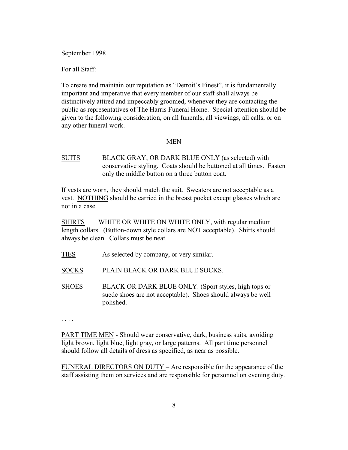September 1998

For all Staff:

To create and maintain our reputation as "Detroit's Finest", it is fundamentally important and imperative that every member of our staff shall always be distinctively attired and impeccably groomed, whenever they are contacting the public as representatives of The Harris Funeral Home. Special attention should be given to the following consideration, on all funerals, all viewings, all calls, or on any other funeral work.

### MEN

SUITS BLACK GRAY, OR DARK BLUE ONLY (as selected) with conservative styling. Coats should be buttoned at all times. Fasten only the middle button on a three button coat.

If vests are worn, they should match the suit. Sweaters are not acceptable as a vest. NOTHING should be carried in the breast pocket except glasses which are not in a case.

SHIRTS WHITE OR WHITE ON WHITE ONLY, with regular medium length collars. (Button-down style collars are NOT acceptable). Shirts should always be clean. Collars must be neat.

- TIES As selected by company, or very similar.
- SOCKS PLAIN BLACK OR DARK BLUE SOCKS.
- SHOES BLACK OR DARK BLUE ONLY. (Sport styles, high tops or suede shoes are not acceptable). Shoes should always be well polished.

. . . .

PART TIME MEN - Should wear conservative, dark, business suits, avoiding light brown, light blue, light gray, or large patterns. All part time personnel should follow all details of dress as specified, as near as possible.

FUNERAL DIRECTORS ON DUTY – Are responsible for the appearance of the staff assisting them on services and are responsible for personnel on evening duty.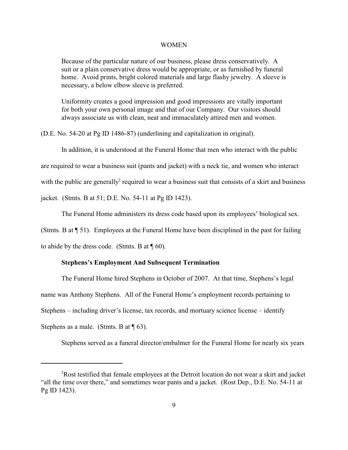#### WOMEN

Because of the particular nature of our business, please dress conservatively. A suit or a plain conservative dress would be appropriate, or as furnished by funeral home. Avoid prints, bright colored materials and large flashy jewelry. A sleeve is necessary, a below elbow sleeve is preferred.

Uniformity creates a good impression and good impressions are vitally important for both your own personal image and that of our Company. Our visitors should always associate us with clean, neat and immaculately attired men and women.

(D.E. No. 54-20 at Pg ID 1486-87) (underlining and capitalization in original).

In addition, it is understood at the Funeral Home that men who interact with the public

are required to wear a business suit (pants and jacket) with a neck tie, and women who interact

with the public are generally required to wear a business suit that consists of a skirt and business

jacket. (Stmts. B at 51; D.E. No. 54-11 at Pg ID 1423).

The Funeral Home administers its dress code based upon its employees' biological sex.

(Stmts. B at ¶ 51). Employees at the Funeral Home have been disciplined in the past for failing

to abide by the dress code. (Stmts. B at  $\P$  60).

### **Stephens's Employment And Subsequent Termination**

The Funeral Home hired Stephens in October of 2007. At that time, Stephens's legal name was Anthony Stephens. All of the Funeral Home's employment records pertaining to Stephens – including driver's license, tax records, and mortuary science license – identify Stephens as a male. (Stmts. B at  $\P$  63).

Stephens served as a funeral director/embalmer for the Funeral Home for nearly six years

 $P$ Rost testified that female employees at the Detroit location do not wear a skirt and jacket "all the time over there," and sometimes wear pants and a jacket. (Rost Dep., D.E. No. 54-11 at Pg ID 1423).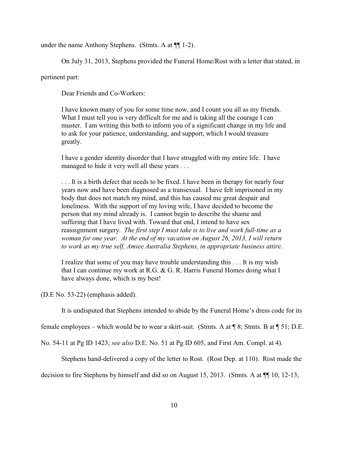under the name Anthony Stephens. (Stmts. A at ¶¶ 1-2).

On July 31, 2013, Stephens provided the Funeral Home/Rost with a letter that stated, in

pertinent part:

Dear Friends and Co-Workers:

I have known many of you for some time now, and I count you all as my friends. What I must tell you is very difficult for me and is taking all the courage I can muster. I am writing this both to inform you of a significant change in my life and to ask for your patience, understanding, and support, which I would treasure greatly.

I have a gender identity disorder that I have struggled with my entire life. I have managed to hide it very well all these years . . .

. . . It is a birth defect that needs to be fixed. I have been in therapy for nearly four years now and have been diagnosed as a transexual. I have felt imprisoned in my body that does not match my mind, and this has caused me great despair and loneliness. With the support of my loving wife, I have decided to become the person that my mind already is. I cannot begin to describe the shame and suffering that I have lived with. Toward that end, I intend to have sex reassignment surgery. *The first step I must take is to live and work full-time as a woman for one year. At the end of my vacation on August 26, 2013, I will return to work as my true self, Amiee Australia Stephens, in appropriate business attire*.

I realize that some of you may have trouble understanding this . . . It is my wish that I can continue my work at R.G. & G. R. Harris Funeral Homes doing what I have always done, which is my best!

(D.E No. 53-22) (emphasis added).

It is undisputed that Stephens intended to abide by the Funeral Home's dress code for its

female employees – which would be to wear a skirt-suit. (Stmts. A at ¶ 8; Stmts. B at ¶ 51; D.E.

No. 54-11 at Pg ID 1423; *see also* D.E. No. 51 at Pg ID 605, and First Am. Compl. at 4).

Stephens hand-delivered a copy of the letter to Rost. (Rost Dep. at 110). Rost made the

decision to fire Stephens by himself and did so on August 15, 2013. (Stmts. A at ¶¶ 10, 12-13;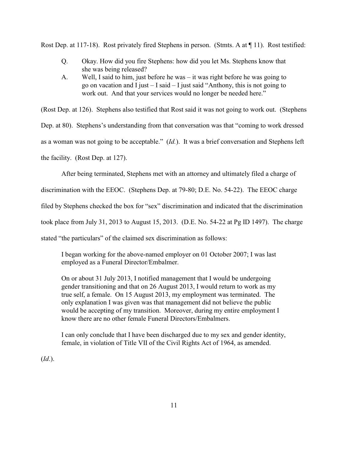Rost Dep. at 117-18). Rost privately fired Stephens in person. (Stmts. A at  $\P$  11). Rost testified:

- Q. Okay. How did you fire Stephens: how did you let Ms. Stephens know that she was being released?
- A. Well, I said to him, just before he was it was right before he was going to go on vacation and I just  $-$  I said  $-$  I just said "Anthony, this is not going to work out. And that your services would no longer be needed here."

(Rost Dep. at 126). Stephens also testified that Rost said it was not going to work out. (Stephens

Dep. at 80). Stephens's understanding from that conversation was that "coming to work dressed

as a woman was not going to be acceptable." (*Id.*). It was a brief conversation and Stephens left

the facility. (Rost Dep. at 127).

After being terminated, Stephens met with an attorney and ultimately filed a charge of

discrimination with the EEOC. (Stephens Dep. at 79-80; D.E. No. 54-22). The EEOC charge

filed by Stephens checked the box for "sex" discrimination and indicated that the discrimination

took place from July 31, 2013 to August 15, 2013. (D.E. No. 54-22 at Pg ID 1497). The charge

stated "the particulars" of the claimed sex discrimination as follows:

I began working for the above-named employer on 01 October 2007; I was last employed as a Funeral Director/Embalmer.

On or about 31 July 2013, I notified management that I would be undergoing gender transitioning and that on 26 August 2013, I would return to work as my true self, a female. On 15 August 2013, my employment was terminated. The only explanation I was given was that management did not believe the public would be accepting of my transition. Moreover, during my entire employment I know there are no other female Funeral Directors/Embalmers.

I can only conclude that I have been discharged due to my sex and gender identity, female, in violation of Title VII of the Civil Rights Act of 1964, as amended.

(*Id*.).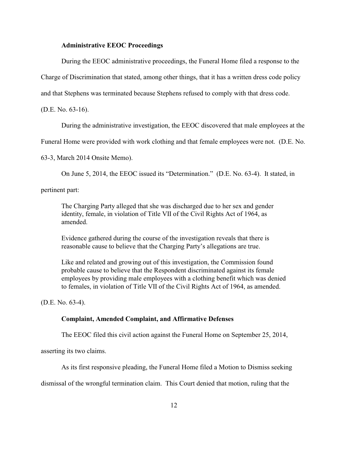#### **Administrative EEOC Proceedings**

During the EEOC administrative proceedings, the Funeral Home filed a response to the

Charge of Discrimination that stated, among other things, that it has a written dress code policy

and that Stephens was terminated because Stephens refused to comply with that dress code.

(D.E. No. 63-16).

During the administrative investigation, the EEOC discovered that male employees at the

Funeral Home were provided with work clothing and that female employees were not. (D.E. No.

63-3, March 2014 Onsite Memo).

On June 5, 2014, the EEOC issued its "Determination." (D.E. No. 63-4). It stated, in

pertinent part:

The Charging Party alleged that she was discharged due to her sex and gender identity, female, in violation of Title VII of the Civil Rights Act of 1964, as amended.

Evidence gathered during the course of the investigation reveals that there is reasonable cause to believe that the Charging Party's allegations are true.

Like and related and growing out of this investigation, the Commission found probable cause to believe that the Respondent discriminated against its female employees by providing male employees with a clothing benefit which was denied to females, in violation of Title VII of the Civil Rights Act of 1964, as amended.

(D.E. No. 63-4).

### **Complaint, Amended Complaint, and Affirmative Defenses**

The EEOC filed this civil action against the Funeral Home on September 25, 2014,

asserting its two claims.

As its first responsive pleading, the Funeral Home filed a Motion to Dismiss seeking

dismissal of the wrongful termination claim. This Court denied that motion, ruling that the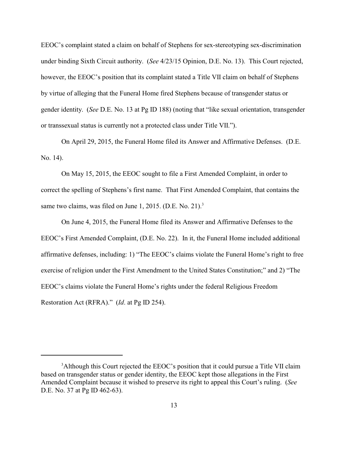EEOC's complaint stated a claim on behalf of Stephens for sex-stereotyping sex-discrimination under binding Sixth Circuit authority. (*See* 4/23/15 Opinion, D.E. No. 13). This Court rejected, however, the EEOC's position that its complaint stated a Title VII claim on behalf of Stephens by virtue of alleging that the Funeral Home fired Stephens because of transgender status or gender identity. (*See* D.E. No. 13 at Pg ID 188) (noting that "like sexual orientation, transgender or transsexual status is currently not a protected class under Title VII.").

On April 29, 2015, the Funeral Home filed its Answer and Affirmative Defenses. (D.E. No. 14).

On May 15, 2015, the EEOC sought to file a First Amended Complaint, in order to correct the spelling of Stephens's first name. That First Amended Complaint, that contains the same two claims, was filed on June 1, 2015. (D.E. No. 21).<sup>3</sup>

On June 4, 2015, the Funeral Home filed its Answer and Affirmative Defenses to the EEOC's First Amended Complaint, (D.E. No. 22). In it, the Funeral Home included additional affirmative defenses, including: 1) "The EEOC's claims violate the Funeral Home's right to free exercise of religion under the First Amendment to the United States Constitution;" and 2) "The EEOC's claims violate the Funeral Home's rights under the federal Religious Freedom Restoration Act (RFRA)." (*Id*. at Pg ID 254).

<sup>&</sup>lt;sup>3</sup>Although this Court rejected the EEOC's position that it could pursue a Title VII claim based on transgender status or gender identity, the EEOC kept those allegations in the First Amended Complaint because it wished to preserve its right to appeal this Court's ruling. (*See* D.E. No. 37 at Pg ID 462-63).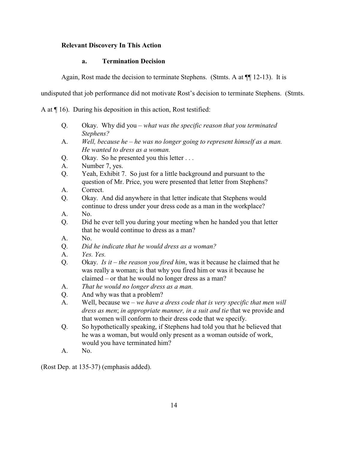# **Relevant Discovery In This Action**

### **a. Termination Decision**

Again, Rost made the decision to terminate Stephens. (Stmts. A at ¶¶ 12-13). It is

undisputed that job performance did not motivate Rost's decision to terminate Stephens. (Stmts.

A at ¶ 16). During his deposition in this action, Rost testified:

- Q. Okay. Why did you *what was the specific reason that you terminated Stephens?*
- A. *Well, because he he was no longer going to represent himself as a man. He wanted to dress as a woman.*
- Q. Okay. So he presented you this letter . . .
- A. Number 7, yes.
- Q. Yeah, Exhibit 7. So just for a little background and pursuant to the question of Mr. Price, you were presented that letter from Stephens?
- A. Correct.
- Q. Okay. And did anywhere in that letter indicate that Stephens would continue to dress under your dress code as a man in the workplace?
- A. No.
- Q. Did he ever tell you during your meeting when he handed you that letter that he would continue to dress as a man?
- A. No.
- Q. *Did he indicate that he would dress as a woman?*
- A. *Yes. Yes.*
- Q. Okay. *Is it the reason you fired him*, was it because he claimed that he was really a woman; is that why you fired him or was it because he claimed – or that he would no longer dress as a man?
- A. *That he would no longer dress as a man.*
- Q. And why was that a problem?
- A. Well, because we *we have a dress code that is very specific that men will dress as men*; *in appropriate manner, in a suit and tie* that we provide and that women will conform to their dress code that we specify.
- Q. So hypothetically speaking, if Stephens had told you that he believed that he was a woman, but would only present as a woman outside of work, would you have terminated him?
- A. No.

(Rost Dep. at 135-37) (emphasis added).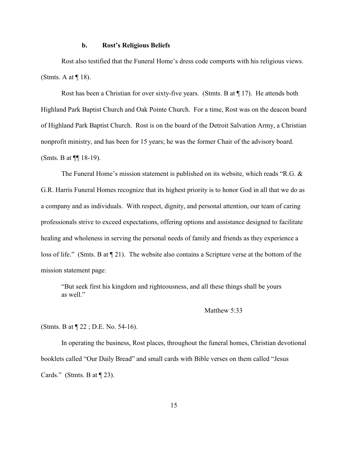#### **b. Rost's Religious Beliefs**

Rost also testified that the Funeral Home's dress code comports with his religious views. (Stmts. A at  $\P$  18).

Rost has been a Christian for over sixty-five years. (Stmts. B at  $\P$  17). He attends both Highland Park Baptist Church and Oak Pointe Church. For a time, Rost was on the deacon board of Highland Park Baptist Church. Rost is on the board of the Detroit Salvation Army, a Christian nonprofit ministry, and has been for 15 years; he was the former Chair of the advisory board. (Smts. B at ¶¶ 18-19).

The Funeral Home's mission statement is published on its website, which reads "R.G. & G.R. Harris Funeral Homes recognize that its highest priority is to honor God in all that we do as a company and as individuals. With respect, dignity, and personal attention, our team of caring professionals strive to exceed expectations, offering options and assistance designed to facilitate healing and wholeness in serving the personal needs of family and friends as they experience a loss of life." (Smts. B at ¶ 21). The website also contains a Scripture verse at the bottom of the mission statement page:

"But seek first his kingdom and righteousness, and all these things shall be yours as well."

### Matthew 5:33

(Stmts. B at ¶ 22 ; D.E. No. 54-16).

In operating the business, Rost places, throughout the funeral homes, Christian devotional booklets called "Our Daily Bread" and small cards with Bible verses on them called "Jesus Cards." (Stmts. B at  $\P$  23).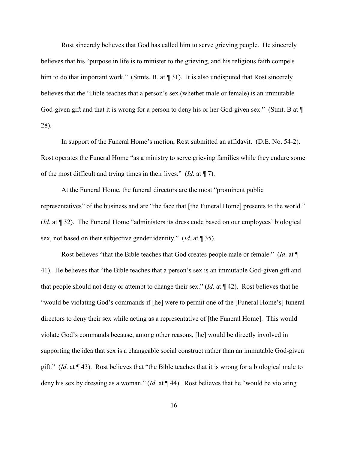Rost sincerely believes that God has called him to serve grieving people. He sincerely believes that his "purpose in life is to minister to the grieving, and his religious faith compels him to do that important work." (Stmts. B. at [1] 31). It is also undisputed that Rost sincerely believes that the "Bible teaches that a person's sex (whether male or female) is an immutable God-given gift and that it is wrong for a person to deny his or her God-given sex." (Stmt. B at  $\P$ 28).

In support of the Funeral Home's motion, Rost submitted an affidavit. (D.E. No. 54-2). Rost operates the Funeral Home "as a ministry to serve grieving families while they endure some of the most difficult and trying times in their lives." (*Id*. at ¶ 7).

At the Funeral Home, the funeral directors are the most "prominent public representatives" of the business and are "the face that [the Funeral Home] presents to the world." (*Id*. at ¶ 32). The Funeral Home "administers its dress code based on our employees' biological sex, not based on their subjective gender identity." (*Id*. at ¶ 35).

Rost believes "that the Bible teaches that God creates people male or female." (*Id*. at ¶ 41). He believes that "the Bible teaches that a person's sex is an immutable God-given gift and that people should not deny or attempt to change their sex." (*Id*. at ¶ 42). Rost believes that he "would be violating God's commands if [he] were to permit one of the [Funeral Home's] funeral directors to deny their sex while acting as a representative of [the Funeral Home]. This would violate God's commands because, among other reasons, [he] would be directly involved in supporting the idea that sex is a changeable social construct rather than an immutable God-given gift." (*Id*. at ¶ 43). Rost believes that "the Bible teaches that it is wrong for a biological male to deny his sex by dressing as a woman." (*Id*. at ¶ 44). Rost believes that he "would be violating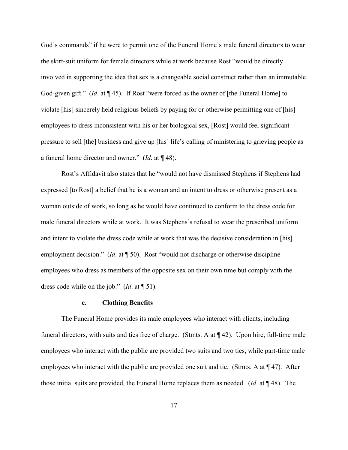God's commands" if he were to permit one of the Funeral Home's male funeral directors to wear the skirt-suit uniform for female directors while at work because Rost "would be directly involved in supporting the idea that sex is a changeable social construct rather than an immutable God-given gift." (*Id.* at ¶ 45). If Rost "were forced as the owner of [the Funeral Home] to violate [his] sincerely held religious beliefs by paying for or otherwise permitting one of [his] employees to dress inconsistent with his or her biological sex, [Rost] would feel significant pressure to sell [the] business and give up [his] life's calling of ministering to grieving people as a funeral home director and owner." (*Id*. at ¶ 48).

Rost's Affidavit also states that he "would not have dismissed Stephens if Stephens had expressed [to Rost] a belief that he is a woman and an intent to dress or otherwise present as a woman outside of work, so long as he would have continued to conform to the dress code for male funeral directors while at work. It was Stephens's refusal to wear the prescribed uniform and intent to violate the dress code while at work that was the decisive consideration in [his] employment decision." (*Id.* at  $\P$  50). Rost "would not discharge or otherwise discipline employees who dress as members of the opposite sex on their own time but comply with the dress code while on the job." (*Id*. at ¶ 51).

#### **c. Clothing Benefits**

The Funeral Home provides its male employees who interact with clients, including funeral directors, with suits and ties free of charge. (Stmts. A at ¶ 42). Upon hire, full-time male employees who interact with the public are provided two suits and two ties, while part-time male employees who interact with the public are provided one suit and tie. (Stmts. A at  $\P$  47). After those initial suits are provided, the Funeral Home replaces them as needed. (*Id*. at ¶ 48). The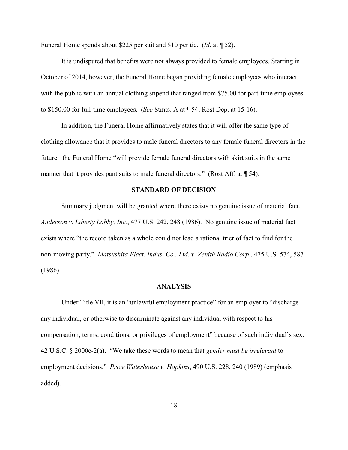Funeral Home spends about \$225 per suit and \$10 per tie. (*Id*. at ¶ 52).

It is undisputed that benefits were not always provided to female employees. Starting in October of 2014, however, the Funeral Home began providing female employees who interact with the public with an annual clothing stipend that ranged from \$75.00 for part-time employees to \$150.00 for full-time employees. (*See* Stmts. A at ¶ 54; Rost Dep. at 15-16).

In addition, the Funeral Home affirmatively states that it will offer the same type of clothing allowance that it provides to male funeral directors to any female funeral directors in the future: the Funeral Home "will provide female funeral directors with skirt suits in the same manner that it provides pant suits to male funeral directors." (Rost Aff. at  $\P$  54).

### **STANDARD OF DECISION**

Summary judgment will be granted where there exists no genuine issue of material fact. *Anderson v. Liberty Lobby, Inc.*, 477 U.S. 242, 248 (1986). No genuine issue of material fact exists where "the record taken as a whole could not lead a rational trier of fact to find for the non-moving party." *Matsushita Elect. Indus. Co., Ltd. v. Zenith Radio Corp*., 475 U.S. 574, 587 (1986).

#### **ANALYSIS**

Under Title VII, it is an "unlawful employment practice" for an employer to "discharge any individual, or otherwise to discriminate against any individual with respect to his compensation, terms, conditions, or privileges of employment" because of such individual's sex. 42 U.S.C. § 2000e-2(a). "We take these words to mean that *gender must be irrelevant* to employment decisions." *Price Waterhouse v. Hopkins*, 490 U.S. 228, 240 (1989) (emphasis added).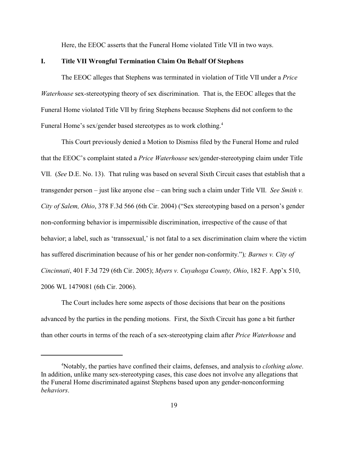Here, the EEOC asserts that the Funeral Home violated Title VII in two ways.

#### **I. Title VII Wrongful Termination Claim On Behalf Of Stephens**

The EEOC alleges that Stephens was terminated in violation of Title VII under a *Price Waterhouse* sex-stereotyping theory of sex discrimination. That is, the EEOC alleges that the Funeral Home violated Title VII by firing Stephens because Stephens did not conform to the Funeral Home's sex/gender based stereotypes as to work clothing.<sup>4</sup>

This Court previously denied a Motion to Dismiss filed by the Funeral Home and ruled that the EEOC's complaint stated a *Price Waterhouse* sex/gender-stereotyping claim under Title VII. (*See* D.E. No. 13). That ruling was based on several Sixth Circuit cases that establish that a transgender person – just like anyone else – can bring such a claim under Title VII. *See Smith v. City of Salem, Ohio*, 378 F.3d 566 (6th Cir. 2004) ("Sex stereotyping based on a person's gender non-conforming behavior is impermissible discrimination, irrespective of the cause of that behavior; a label, such as 'transsexual,' is not fatal to a sex discrimination claim where the victim has suffered discrimination because of his or her gender non-conformity.")*; Barnes v. City of Cincinnati*, 401 F.3d 729 (6th Cir. 2005); *Myers v. Cuyahoga County, Ohio*, 182 F. App'x 510, 2006 WL 1479081 (6th Cir. 2006).

The Court includes here some aspects of those decisions that bear on the positions advanced by the parties in the pending motions. First, the Sixth Circuit has gone a bit further than other courts in terms of the reach of a sex-stereotyping claim after *Price Waterhouse* and

Notably, the parties have confined their claims, defenses, and analysis to *clothing alone*. 4 In addition, unlike many sex-stereotyping cases, this case does not involve any allegations that the Funeral Home discriminated against Stephens based upon any gender-nonconforming *behaviors*.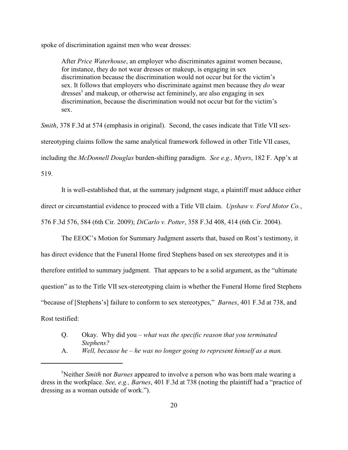spoke of discrimination against men who wear dresses:

After *Price Waterhouse*, an employer who discriminates against women because, for instance, they do not wear dresses or makeup, is engaging in sex discrimination because the discrimination would not occur but for the victim's sex. It follows that employers who discriminate against men because they *do* wear dresses<sup>5</sup> and makeup, or otherwise act femininely, are also engaging in sex discrimination, because the discrimination would not occur but for the victim's sex.

*Smith*, 378 F.3d at 574 (emphasis in original). Second, the cases indicate that Title VII sexstereotyping claims follow the same analytical framework followed in other Title VII cases, including the *McDonnell Douglas* burden-shifting paradigm. *See e.g., Myers*, 182 F. App'x at 519.

It is well-established that, at the summary judgment stage, a plaintiff must adduce either direct or circumstantial evidence to proceed with a Title VII claim. *Upshaw v. Ford Motor Co.*, 576 F.3d 576, 584 (6th Cir. 2009); *DiCarlo v. Potter*, 358 F.3d 408, 414 (6th Cir. 2004).

The EEOC's Motion for Summary Judgment asserts that, based on Rost's testimony, it has direct evidence that the Funeral Home fired Stephens based on sex stereotypes and it is therefore entitled to summary judgment. That appears to be a solid argument, as the "ultimate question" as to the Title VII sex-stereotyping claim is whether the Funeral Home fired Stephens "because of [Stephens's] failure to conform to sex stereotypes," *Barnes*, 401 F.3d at 738, and Rost testified:

- Q. Okay. Why did you *what was the specific reason that you terminated Stephens?*
- A. *Well, because he he was no longer going to represent himself as a man.*

<sup>&</sup>lt;sup>5</sup>Neither *Smith* nor *Barnes* appeared to involve a person who was born male wearing a dress in the workplace. *See, e.g., Barnes*, 401 F.3d at 738 (noting the plaintiff had a "practice of dressing as a woman outside of work.").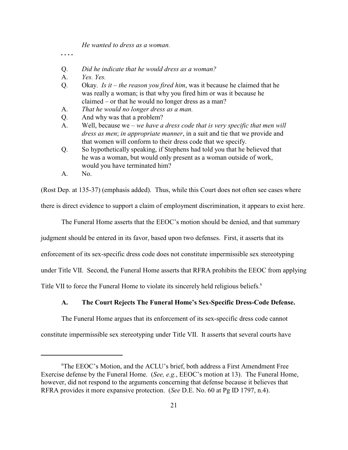*He wanted to dress as a woman.*

*. . . .*

- Q. *Did he indicate that he would dress as a woman?*
- A. *Yes. Yes.*
- Q. Okay. *Is it the reason you fired him*, was it because he claimed that he was really a woman; is that why you fired him or was it because he claimed – or that he would no longer dress as a man?
- A. *That he would no longer dress as a man.*
- Q. And why was that a problem?
- A. Well, because we *we have a dress code that is very specific that men will dress as men*; *in appropriate manner*, in a suit and tie that we provide and that women will conform to their dress code that we specify.
- Q. So hypothetically speaking, if Stephens had told you that he believed that he was a woman, but would only present as a woman outside of work, would you have terminated him?
- A. No.

(Rost Dep. at 135-37) (emphasis added). Thus, while this Court does not often see cases where there is direct evidence to support a claim of employment discrimination, it appears to exist here.

The Funeral Home asserts that the EEOC's motion should be denied, and that summary

judgment should be entered in its favor, based upon two defenses. First, it asserts that its

enforcement of its sex-specific dress code does not constitute impermissible sex stereotyping

under Title VII. Second, the Funeral Home asserts that RFRA prohibits the EEOC from applying

Title VII to force the Funeral Home to violate its sincerely held religious beliefs.<sup>6</sup>

### **A. The Court Rejects The Funeral Home's Sex-Specific Dress-Code Defense.**

The Funeral Home argues that its enforcement of its sex-specific dress code cannot

constitute impermissible sex stereotyping under Title VII. It asserts that several courts have

 ${}^6$ The EEOC's Motion, and the ACLU's brief, both address a First Amendment Free Exercise defense by the Funeral Home. (*See, e.g.*, EEOC's motion at 13). The Funeral Home, however, did not respond to the arguments concerning that defense because it believes that RFRA provides it more expansive protection. (*See* D.E. No. 60 at Pg ID 1797, n.4).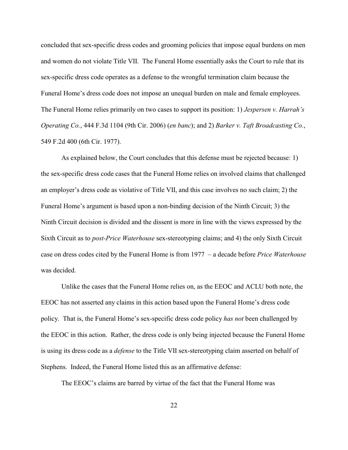concluded that sex-specific dress codes and grooming policies that impose equal burdens on men and women do not violate Title VII. The Funeral Home essentially asks the Court to rule that its sex-specific dress code operates as a defense to the wrongful termination claim because the Funeral Home's dress code does not impose an unequal burden on male and female employees. The Funeral Home relies primarily on two cases to support its position: 1) *Jespersen v. Harrah's Operating Co.*, 444 F.3d 1104 (9th Cir. 2006) (*en banc*); and 2) *Barker v. Taft Broadcasting Co.*, 549 F.2d 400 (6th Cir. 1977).

As explained below, the Court concludes that this defense must be rejected because: 1) the sex-specific dress code cases that the Funeral Home relies on involved claims that challenged an employer's dress code as violative of Title VII, and this case involves no such claim; 2) the Funeral Home's argument is based upon a non-binding decision of the Ninth Circuit; 3) the Ninth Circuit decision is divided and the dissent is more in line with the views expressed by the Sixth Circuit as to *post-Price Waterhouse* sex-stereotyping claims; and 4) the only Sixth Circuit case on dress codes cited by the Funeral Home is from 1977 – a decade before *Price Waterhouse* was decided.

Unlike the cases that the Funeral Home relies on, as the EEOC and ACLU both note, the EEOC has not asserted any claims in this action based upon the Funeral Home's dress code policy. That is, the Funeral Home's sex-specific dress code policy *has not* been challenged by the EEOC in this action. Rather, the dress code is only being injected because the Funeral Home is using its dress code as a *defense* to the Title VII sex-stereotyping claim asserted on behalf of Stephens. Indeed, the Funeral Home listed this as an affirmative defense:

The EEOC's claims are barred by virtue of the fact that the Funeral Home was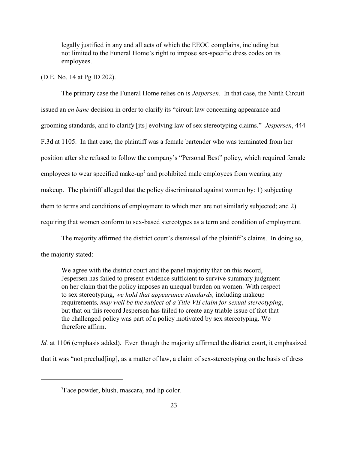legally justified in any and all acts of which the EEOC complains, including but not limited to the Funeral Home's right to impose sex-specific dress codes on its employees.

### (D.E. No. 14 at Pg ID 202).

The primary case the Funeral Home relies on is *Jespersen.* In that case, the Ninth Circuit issued an *en banc* decision in order to clarify its "circuit law concerning appearance and grooming standards, and to clarify [its] evolving law of sex stereotyping claims." *Jespersen*, 444 F.3d at 1105. In that case, the plaintiff was a female bartender who was terminated from her position after she refused to follow the company's "Personal Best" policy, which required female employees to wear specified make-up<sup>7</sup> and prohibited male employees from wearing any makeup. The plaintiff alleged that the policy discriminated against women by: 1) subjecting them to terms and conditions of employment to which men are not similarly subjected; and 2) requiring that women conform to sex-based stereotypes as a term and condition of employment.

The majority affirmed the district court's dismissal of the plaintiff's claims. In doing so, the majority stated:

We agree with the district court and the panel majority that on this record, Jespersen has failed to present evidence sufficient to survive summary judgment on her claim that the policy imposes an unequal burden on women. With respect to sex stereotyping, *we hold that appearance standards,* including makeup requirements*, may well be the subject of a Title VII claim for sexual stereotyping*, but that on this record Jespersen has failed to create any triable issue of fact that the challenged policy was part of a policy motivated by sex stereotyping. We therefore affirm.

*Id.* at 1106 (emphasis added). Even though the majority affirmed the district court, it emphasized that it was "not preclud[ing], as a matter of law, a claim of sex-stereotyping on the basis of dress

<sup>&</sup>lt;sup>7</sup>Face powder, blush, mascara, and lip color.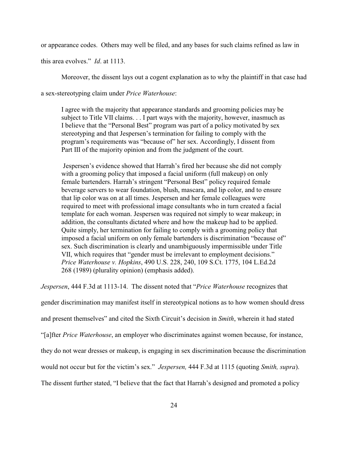or appearance codes. Others may well be filed, and any bases for such claims refined as law in

this area evolves." *Id*. at 1113.

Moreover, the dissent lays out a cogent explanation as to why the plaintiff in that case had

a sex-stereotyping claim under *Price Waterhouse*:

I agree with the majority that appearance standards and grooming policies may be subject to Title VII claims. . . I part ways with the majority, however, inasmuch as I believe that the "Personal Best" program was part of a policy motivated by sex stereotyping and that Jespersen's termination for failing to comply with the program's requirements was "because of" her sex. Accordingly, I dissent from Part III of the majority opinion and from the judgment of the court.

 Jespersen's evidence showed that Harrah's fired her because she did not comply with a grooming policy that imposed a facial uniform (full makeup) on only female bartenders. Harrah's stringent "Personal Best" policy required female beverage servers to wear foundation, blush, mascara, and lip color, and to ensure that lip color was on at all times. Jespersen and her female colleagues were required to meet with professional image consultants who in turn created a facial template for each woman. Jespersen was required not simply to wear makeup; in addition, the consultants dictated where and how the makeup had to be applied. Quite simply, her termination for failing to comply with a grooming policy that imposed a facial uniform on only female bartenders is discrimination "because of" sex. Such discrimination is clearly and unambiguously impermissible under Title VII, which requires that "gender must be irrelevant to employment decisions." *Price Waterhouse v. Hopkins*, 490 U.S. 228, 240, 109 S.Ct. 1775, 104 L.Ed.2d 268 (1989) (plurality opinion) (emphasis added).

*Jespersen*, 444 F.3d at 1113-14. The dissent noted that "*Price Waterhouse* recognizes that

gender discrimination may manifest itself in stereotypical notions as to how women should dress

and present themselves" and cited the Sixth Circuit's decision in *Smith*, wherein it had stated

"[a]fter *Price Waterhouse*, an employer who discriminates against women because, for instance,

they do not wear dresses or makeup, is engaging in sex discrimination because the discrimination

would not occur but for the victim's sex." *Jespersen,* 444 F.3d at 1115 (quoting *Smith, supra*).

The dissent further stated, "I believe that the fact that Harrah's designed and promoted a policy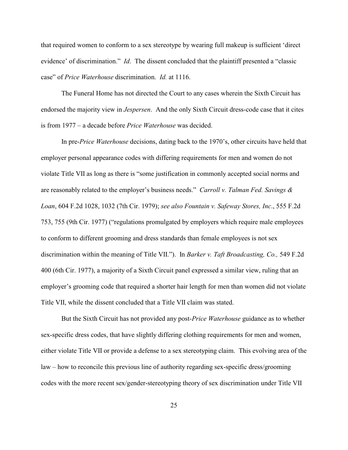that required women to conform to a sex stereotype by wearing full makeup is sufficient 'direct evidence' of discrimination." *Id*. The dissent concluded that the plaintiff presented a "classic case" of *Price Waterhouse* discrimination. *Id.* at 1116.

The Funeral Home has not directed the Court to any cases wherein the Sixth Circuit has endorsed the majority view in *Jespersen*. And the only Sixth Circuit dress-code case that it cites is from 1977 – a decade before *Price Waterhouse* was decided.

In pre-*Price Waterhouse* decisions, dating back to the 1970's, other circuits have held that employer personal appearance codes with differing requirements for men and women do not violate Title VII as long as there is "some justification in commonly accepted social norms and are reasonably related to the employer's business needs." *Carroll v. Talman Fed. Savings & Loan*, 604 F.2d 1028, 1032 (7th Cir. 1979); *see also Fountain v. Safeway Stores, Inc*., 555 F.2d 753, 755 (9th Cir. 1977) ("regulations promulgated by employers which require male employees to conform to different grooming and dress standards than female employees is not sex discrimination within the meaning of Title VII."). In *Barker v. Taft Broadcasting, Co.,* 549 F.2d 400 (6th Cir. 1977), a majority of a Sixth Circuit panel expressed a similar view, ruling that an employer's grooming code that required a shorter hair length for men than women did not violate Title VII, while the dissent concluded that a Title VII claim was stated.

But the Sixth Circuit has not provided any post-*Price Waterhouse* guidance as to whether sex-specific dress codes, that have slightly differing clothing requirements for men and women, either violate Title VII or provide a defense to a sex stereotyping claim. This evolving area of the law – how to reconcile this previous line of authority regarding sex-specific dress/grooming codes with the more recent sex/gender-stereotyping theory of sex discrimination under Title VII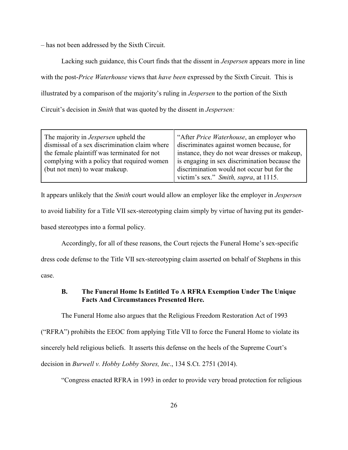– has not been addressed by the Sixth Circuit.

Lacking such guidance, this Court finds that the dissent in *Jespersen* appears more in line with the post-*Price Waterhouse* views that *have been* expressed by the Sixth Circuit. This is illustrated by a comparison of the majority's ruling in *Jespersen* to the portion of the Sixth Circuit's decision in *Smith* that was quoted by the dissent in *Jespersen:*

| The majority in <i>Jespersen</i> upheld the   | "After <i>Price Waterhouse</i> , an employer who |
|-----------------------------------------------|--------------------------------------------------|
| dismissal of a sex discrimination claim where | discriminates against women because, for         |
| the female plaintiff was terminated for not   | instance, they do not wear dresses or makeup,    |
| complying with a policy that required women   | is engaging in sex discrimination because the    |
| (but not men) to wear makeup.                 | discrimination would not occur but for the       |
|                                               | victim's sex." Smith, supra, at 1115.            |

It appears unlikely that the *Smith* court would allow an employer like the employer in *Jespersen* to avoid liability for a Title VII sex-stereotyping claim simply by virtue of having put its genderbased stereotypes into a formal policy.

Accordingly, for all of these reasons, the Court rejects the Funeral Home's sex-specific dress code defense to the Title VII sex-stereotyping claim asserted on behalf of Stephens in this case.

# **B. The Funeral Home Is Entitled To A RFRA Exemption Under The Unique Facts And Circumstances Presented Here.**

The Funeral Home also argues that the Religious Freedom Restoration Act of 1993

("RFRA") prohibits the EEOC from applying Title VII to force the Funeral Home to violate its

sincerely held religious beliefs. It asserts this defense on the heels of the Supreme Court's

decision in *Burwell v. Hobby Lobby Stores, Inc*., 134 S.Ct. 2751 (2014).

"Congress enacted RFRA in 1993 in order to provide very broad protection for religious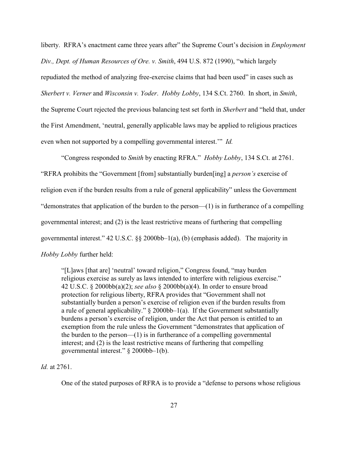liberty. RFRA's enactment came three years after" the Supreme Court's decision in *Employment Div., Dept. of Human Resources of Ore. v. Smith*, 494 U.S. 872 (1990), "which largely repudiated the method of analyzing free-exercise claims that had been used" in cases such as *Sherbert v. Verner* and *Wisconsin v. Yoder*. *Hobby Lobby*, 134 S.Ct. 2760. In short, in *Smith*, the Supreme Court rejected the previous balancing test set forth in *Sherbert* and "held that, under the First Amendment, 'neutral, generally applicable laws may be applied to religious practices even when not supported by a compelling governmental interest.'" *Id.*

"Congress responded to *Smith* by enacting RFRA." *Hobby Lobby*, 134 S.Ct. at 2761. "RFRA prohibits the "Government [from] substantially burden[ing] a *person's* exercise of religion even if the burden results from a rule of general applicability" unless the Government "demonstrates that application of the burden to the person—(1) is in furtherance of a compelling governmental interest; and (2) is the least restrictive means of furthering that compelling governmental interest." 42 U.S.C. §§ 2000bb–1(a), (b) (emphasis added). The majority in *Hobby Lobby* further held:

"[L]aws [that are] 'neutral' toward religion," Congress found, "may burden religious exercise as surely as laws intended to interfere with religious exercise." 42 U.S.C. § 2000bb(a)(2); *see also* § 2000bb(a)(4). In order to ensure broad protection for religious liberty, RFRA provides that "Government shall not substantially burden a person's exercise of religion even if the burden results from a rule of general applicability."  $\S$  2000bb–1(a). If the Government substantially burdens a person's exercise of religion, under the Act that person is entitled to an exemption from the rule unless the Government "demonstrates that application of the burden to the person—(1) is in furtherance of a compelling governmental interest; and (2) is the least restrictive means of furthering that compelling governmental interest." § 2000bb–1(b).

### *Id.* at 2761.

One of the stated purposes of RFRA is to provide a "defense to persons whose religious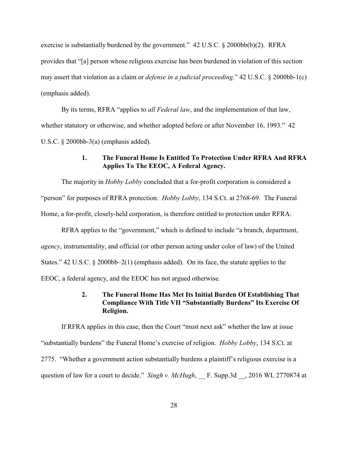exercise is substantially burdened by the government." 42 U.S.C. § 2000bb(b)(2). RFRA provides that "[a] person whose religious exercise has been burdened in violation of this section may assert that violation as a claim or *defense in a judicial proceeding*." 42 U.S.C. § 2000bb-1(c) (emphasis added).

By its terms, RFRA "applies to *all Federal law*, and the implementation of that law, whether statutory or otherwise, and whether adopted before or after November 16, 1993." 42 U.S.C. § 2000bb-3(a) (emphasis added).

# **1. The Funeral Home Is Entitled To Protection Under RFRA And RFRA Applies To The EEOC, A Federal Agency.**

The majority in *Hobby Lobby* concluded that a for-profit corporation is considered a "person" for purposes of RFRA protection. *Hobby Lobby*, 134 S.Ct. at 2768-69. The Funeral Home, a for-profit, closely-held corporation, is therefore entitled to protection under RFRA.

RFRA applies to the "government," which is defined to include "a branch, department, *agency*, instrumentality, and official (or other person acting under color of law) of the United States." 42 U.S.C. § 2000bb–2(1) (emphasis added). On its face, the statute applies to the EEOC, a federal agency, and the EEOC has not argued otherwise.

# **2. The Funeral Home Has Met Its Initial Burden Of Establishing That Compliance With Title VII "Substantially Burdens" Its Exercise Of Religion.**

If RFRA applies in this case, then the Court "must next ask" whether the law at issue "substantially burdens" the Funeral Home's exercise of religion. *Hobby Lobby*, 134 S.Ct. at 2775."Whether a government action substantially burdens a plaintiff's religious exercise is a question of law for a court to decide." *Singh v. McHugh*, F. Supp.3d , 2016 WL 2770874 at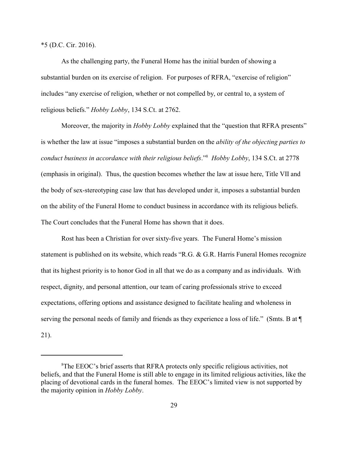\*5 (D.C. Cir. 2016).

As the challenging party, the Funeral Home has the initial burden of showing a substantial burden on its exercise of religion. For purposes of RFRA, "exercise of religion" includes "any exercise of religion, whether or not compelled by, or central to, a system of religious beliefs." *Hobby Lobby*, 134 S.Ct. at 2762.

Moreover, the majority in *Hobby Lobby* explained that the "question that RFRA presents" is whether the law at issue "imposes a substantial burden on the *ability of the objecting parties to conduct business in accordance with their religious beliefs.*" *Hobby Lobby*, 134 S.Ct. at 2778 (emphasis in original). Thus, the question becomes whether the law at issue here, Title VII and the body of sex-stereotyping case law that has developed under it, imposes a substantial burden on the ability of the Funeral Home to conduct business in accordance with its religious beliefs. The Court concludes that the Funeral Home has shown that it does.

Rost has been a Christian for over sixty-five years. The Funeral Home's mission statement is published on its website, which reads "R.G. & G.R. Harris Funeral Homes recognize that its highest priority is to honor God in all that we do as a company and as individuals. With respect, dignity, and personal attention, our team of caring professionals strive to exceed expectations, offering options and assistance designed to facilitate healing and wholeness in serving the personal needs of family and friends as they experience a loss of life." (Smts. B at  $\P$ 21).

<sup>&</sup>lt;sup>8</sup>The EEOC's brief asserts that RFRA protects only specific religious activities, not beliefs, and that the Funeral Home is still able to engage in its limited religious activities, like the placing of devotional cards in the funeral homes. The EEOC's limited view is not supported by the majority opinion in *Hobby Lobby*.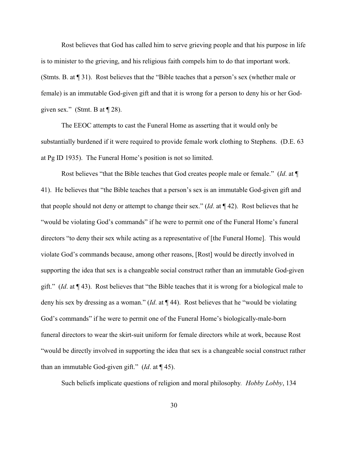Rost believes that God has called him to serve grieving people and that his purpose in life is to minister to the grieving, and his religious faith compels him to do that important work. (Stmts. B. at ¶ 31). Rost believes that the "Bible teaches that a person's sex (whether male or female) is an immutable God-given gift and that it is wrong for a person to deny his or her Godgiven sex." (Stmt. B at  $\P$  28).

The EEOC attempts to cast the Funeral Home as asserting that it would only be substantially burdened if it were required to provide female work clothing to Stephens. (D.E. 63 at Pg ID 1935). The Funeral Home's position is not so limited.

Rost believes "that the Bible teaches that God creates people male or female." (*Id*. at ¶ 41). He believes that "the Bible teaches that a person's sex is an immutable God-given gift and that people should not deny or attempt to change their sex." (*Id*. at ¶ 42). Rost believes that he "would be violating God's commands" if he were to permit one of the Funeral Home's funeral directors "to deny their sex while acting as a representative of [the Funeral Home]. This would violate God's commands because, among other reasons, [Rost] would be directly involved in supporting the idea that sex is a changeable social construct rather than an immutable God-given gift." (*Id*. at ¶ 43). Rost believes that "the Bible teaches that it is wrong for a biological male to deny his sex by dressing as a woman." (*Id*. at ¶ 44). Rost believes that he "would be violating God's commands" if he were to permit one of the Funeral Home's biologically-male-born funeral directors to wear the skirt-suit uniform for female directors while at work, because Rost "would be directly involved in supporting the idea that sex is a changeable social construct rather than an immutable God-given gift." (*Id*. at ¶ 45).

Such beliefs implicate questions of religion and moral philosophy*. Hobby Lobby*, 134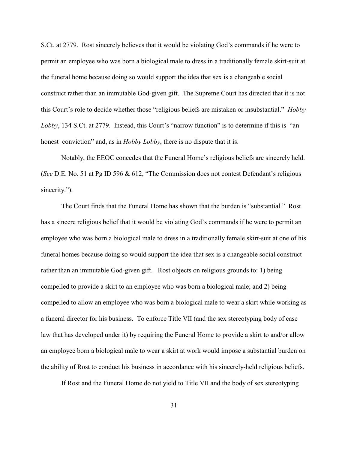S.Ct. at 2779. Rost sincerely believes that it would be violating God's commands if he were to permit an employee who was born a biological male to dress in a traditionally female skirt-suit at the funeral home because doing so would support the idea that sex is a changeable social construct rather than an immutable God-given gift. The Supreme Court has directed that it is not this Court's role to decide whether those "religious beliefs are mistaken or insubstantial." *Hobby Lobby*, 134 S.Ct. at 2779. Instead, this Court's "narrow function" is to determine if this is "an honest conviction" and, as in *Hobby Lobby*, there is no dispute that it is.

Notably, the EEOC concedes that the Funeral Home's religious beliefs are sincerely held. (*See* D.E. No. 51 at Pg ID 596 & 612, "The Commission does not contest Defendant's religious sincerity.").

The Court finds that the Funeral Home has shown that the burden is "substantial." Rost has a sincere religious belief that it would be violating God's commands if he were to permit an employee who was born a biological male to dress in a traditionally female skirt-suit at one of his funeral homes because doing so would support the idea that sex is a changeable social construct rather than an immutable God-given gift. Rost objects on religious grounds to: 1) being compelled to provide a skirt to an employee who was born a biological male; and 2) being compelled to allow an employee who was born a biological male to wear a skirt while working as a funeral director for his business. To enforce Title VII (and the sex stereotyping body of case law that has developed under it) by requiring the Funeral Home to provide a skirt to and/or allow an employee born a biological male to wear a skirt at work would impose a substantial burden on the ability of Rost to conduct his business in accordance with his sincerely-held religious beliefs.

If Rost and the Funeral Home do not yield to Title VII and the body of sex stereotyping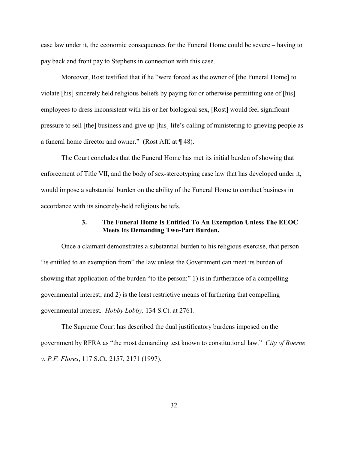case law under it, the economic consequences for the Funeral Home could be severe – having to pay back and front pay to Stephens in connection with this case.

Moreover, Rost testified that if he "were forced as the owner of [the Funeral Home] to violate [his] sincerely held religious beliefs by paying for or otherwise permitting one of [his] employees to dress inconsistent with his or her biological sex, [Rost] would feel significant pressure to sell [the] business and give up [his] life's calling of ministering to grieving people as a funeral home director and owner." (Rost Aff. at ¶ 48).

The Court concludes that the Funeral Home has met its initial burden of showing that enforcement of Title VII, and the body of sex-stereotyping case law that has developed under it, would impose a substantial burden on the ability of the Funeral Home to conduct business in accordance with its sincerely-held religious beliefs.

# **3. The Funeral Home Is Entitled To An Exemption Unless The EEOC Meets Its Demanding Two-Part Burden.**

Once a claimant demonstrates a substantial burden to his religious exercise, that person "is entitled to an exemption from" the law unless the Government can meet its burden of showing that application of the burden "to the person:" 1) is in furtherance of a compelling governmental interest; and 2) is the least restrictive means of furthering that compelling governmental interest*. Hobby Lobby,* 134 S.Ct. at 2761.

The Supreme Court has described the dual justificatory burdens imposed on the government by RFRA as "the most demanding test known to constitutional law." *City of Boerne v. P.F. Flores*, 117 S.Ct. 2157, 2171 (1997).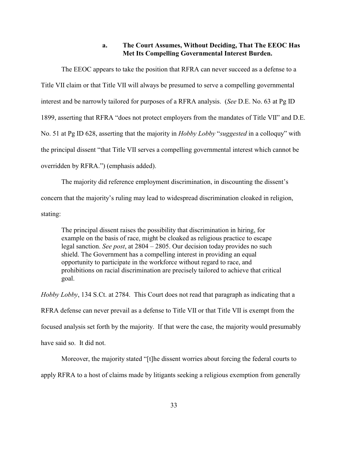# **a. The Court Assumes, Without Deciding, That The EEOC Has Met Its Compelling Governmental Interest Burden.**

The EEOC appears to take the position that RFRA can never succeed as a defense to a Title VII claim or that Title VII will always be presumed to serve a compelling governmental interest and be narrowly tailored for purposes of a RFRA analysis. (*See* D.E. No. 63 at Pg ID 1899, asserting that RFRA "does not protect employers from the mandates of Title VII" and D.E. No. 51 at Pg ID 628, asserting that the majority in *Hobby Lobby* "*suggested* in a colloquy" with the principal dissent "that Title VII serves a compelling governmental interest which cannot be overridden by RFRA.") (emphasis added).

The majority did reference employment discrimination, in discounting the dissent's concern that the majority's ruling may lead to widespread discrimination cloaked in religion, stating:

The principal dissent raises the possibility that discrimination in hiring, for example on the basis of race, might be cloaked as religious practice to escape legal sanction. *See post*, at 2804 – 2805. Our decision today provides no such shield. The Government has a compelling interest in providing an equal opportunity to participate in the workforce without regard to race, and prohibitions on racial discrimination are precisely tailored to achieve that critical goal.

*Hobby Lobby*, 134 S.Ct. at 2784. This Court does not read that paragraph as indicating that a RFRA defense can never prevail as a defense to Title VII or that Title VII is exempt from the focused analysis set forth by the majority. If that were the case, the majority would presumably have said so. It did not.

Moreover, the majority stated "[t]he dissent worries about forcing the federal courts to apply RFRA to a host of claims made by litigants seeking a religious exemption from generally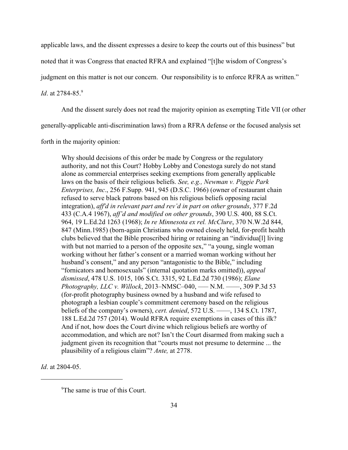applicable laws, and the dissent expresses a desire to keep the courts out of this business" but

noted that it was Congress that enacted RFRA and explained "[t]he wisdom of Congress's

judgment on this matter is not our concern. Our responsibility is to enforce RFRA as written."

*Id.* at 2784-85.9

And the dissent surely does not read the majority opinion as exempting Title VII (or other

generally-applicable anti-discrimination laws) from a RFRA defense or the focused analysis set

forth in the majority opinion:

Why should decisions of this order be made by Congress or the regulatory authority, and not this Court? Hobby Lobby and Conestoga surely do not stand alone as commercial enterprises seeking exemptions from generally applicable laws on the basis of their religious beliefs. *See, e.g., Newman v. Piggie Park Enterprises, Inc*., 256 F.Supp. 941, 945 (D.S.C. 1966) (owner of restaurant chain refused to serve black patrons based on his religious beliefs opposing racial integration), *aff'd in relevant part and rev'd in part on other grounds*, 377 F.2d 433 (C.A.4 1967), *aff'd and modified on other grounds*, 390 U.S. 400, 88 S.Ct. 964, 19 L.Ed.2d 1263 (1968); *In re Minnesota ex rel. McClure*, 370 N.W.2d 844, 847 (Minn.1985) (born-again Christians who owned closely held, for-profit health clubs believed that the Bible proscribed hiring or retaining an "individua[l] living with but not married to a person of the opposite sex," "a young, single woman working without her father's consent or a married woman working without her husband's consent," and any person "antagonistic to the Bible," including "fornicators and homosexuals" (internal quotation marks omitted)), *appeal dismissed*, 478 U.S. 1015, 106 S.Ct. 3315, 92 L.Ed.2d 730 (1986); *Elane Photography, LLC v. Willock*, 2013–NMSC–040, ––– N.M. ––––, 309 P.3d 53 (for-profit photography business owned by a husband and wife refused to photograph a lesbian couple's commitment ceremony based on the religious beliefs of the company's owners), *cert. denied*, 572 U.S. ––––, 134 S.Ct. 1787, 188 L.Ed.2d 757 (2014). Would RFRA require exemptions in cases of this ilk? And if not, how does the Court divine which religious beliefs are worthy of accommodation, and which are not? Isn't the Court disarmed from making such a judgment given its recognition that "courts must not presume to determine ... the plausibility of a religious claim"? *Ante,* at 2778.

*Id*. at 2804-05.

 $^9$ The same is true of this Court.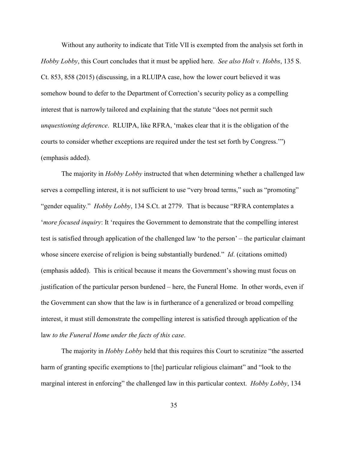Without any authority to indicate that Title VII is exempted from the analysis set forth in *Hobby Lobby*, this Court concludes that it must be applied here. *See also Holt v. Hobbs*, 135 S. Ct. 853, 858 (2015) (discussing, in a RLUIPA case, how the lower court believed it was somehow bound to defer to the Department of Correction's security policy as a compelling interest that is narrowly tailored and explaining that the statute "does not permit such *unquestioning deference*. RLUIPA, like RFRA, 'makes clear that it is the obligation of the courts to consider whether exceptions are required under the test set forth by Congress.'") (emphasis added).

The majority in *Hobby Lobby* instructed that when determining whether a challenged law serves a compelling interest, it is not sufficient to use "very broad terms," such as "promoting" "gender equality." *Hobby Lobby*, 134 S.Ct. at 2779.That is because "RFRA contemplates a '*more focused inquiry*: It 'requires the Government to demonstrate that the compelling interest test is satisfied through application of the challenged law 'to the person' – the particular claimant whose sincere exercise of religion is being substantially burdened." *Id.* (citations omitted) (emphasis added). This is critical because it means the Government's showing must focus on justification of the particular person burdened – here, the Funeral Home. In other words, even if the Government can show that the law is in furtherance of a generalized or broad compelling interest, it must still demonstrate the compelling interest is satisfied through application of the law *to the Funeral Home under the facts of this case*.

The majority in *Hobby Lobby* held that this requires this Court to scrutinize "the asserted harm of granting specific exemptions to [the] particular religious claimant" and "look to the marginal interest in enforcing" the challenged law in this particular context. *Hobby Lobby*, 134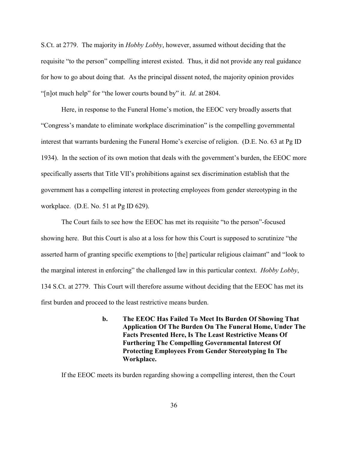S.Ct. at 2779. The majority in *Hobby Lobby*, however, assumed without deciding that the requisite "to the person" compelling interest existed. Thus, it did not provide any real guidance for how to go about doing that. As the principal dissent noted, the majority opinion provides "[n]ot much help" for "the lower courts bound by" it. *Id*. at 2804.

Here, in response to the Funeral Home's motion, the EEOC very broadly asserts that "Congress's mandate to eliminate workplace discrimination" is the compelling governmental interest that warrants burdening the Funeral Home's exercise of religion. (D.E. No. 63 at Pg ID 1934). In the section of its own motion that deals with the government's burden, the EEOC more specifically asserts that Title VII's prohibitions against sex discrimination establish that the government has a compelling interest in protecting employees from gender stereotyping in the workplace. (D.E. No. 51 at Pg ID 629).

The Court fails to see how the EEOC has met its requisite "to the person"-focused showing here. But this Court is also at a loss for how this Court is supposed to scrutinize "the asserted harm of granting specific exemptions to [the] particular religious claimant" and "look to the marginal interest in enforcing" the challenged law in this particular context. *Hobby Lobby*, 134 S.Ct. at 2779. This Court will therefore assume without deciding that the EEOC has met its first burden and proceed to the least restrictive means burden.

> **b. The EEOC Has Failed To Meet Its Burden Of Showing That Application Of The Burden On The Funeral Home, Under The Facts Presented Here, Is The Least Restrictive Means Of Furthering The Compelling Governmental Interest Of Protecting Employees From Gender Stereotyping In The Workplace.**

If the EEOC meets its burden regarding showing a compelling interest, then the Court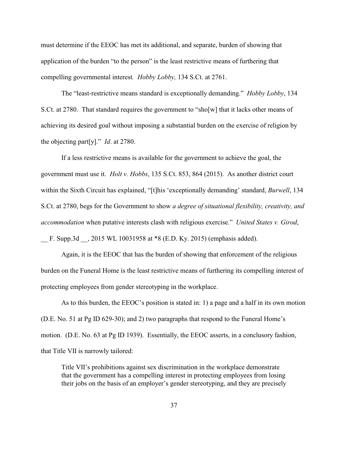must determine if the EEOC has met its additional, and separate, burden of showing that application of the burden "to the person" is the least restrictive means of furthering that compelling governmental interest*. Hobby Lobby,* 134 S.Ct. at 2761.

The "least-restrictive means standard is exceptionally demanding." *Hobby Lobby*, 134 S.Ct. at 2780. That standard requires the government to "sho[w] that it lacks other means of achieving its desired goal without imposing a substantial burden on the exercise of religion by the objecting part[y]." *Id*. at 2780.

If a less restrictive means is available for the government to achieve the goal, the government must use it. *Holt v. Hobbs*, 135 S.Ct. 853, 864 (2015).As another district court within the Sixth Circuit has explained, "[t]his 'exceptionally demanding' standard, *Burwell*, 134 S.Ct. at 2780, begs for the Government to show *a degree of situational flexibility, creativity, and accommodation* when putative interests clash with religious exercise." *United States v. Girod*, F. Supp.3d , 2015 WL 10031958 at \*8 (E.D. Ky. 2015) (emphasis added).

Again, it is the EEOC that has the burden of showing that enforcement of the religious burden on the Funeral Home is the least restrictive means of furthering its compelling interest of protecting employees from gender stereotyping in the workplace.

As to this burden, the EEOC's position is stated in: 1) a page and a half in its own motion (D.E. No. 51 at Pg ID 629-30); and 2) two paragraphs that respond to the Funeral Home's motion. (D.E. No. 63 at Pg ID 1939). Essentially, the EEOC asserts, in a conclusory fashion, that Title VII is narrowly tailored:

Title VII's prohibitions against sex discrimination in the workplace demonstrate that the government has a compelling interest in protecting employees from losing their jobs on the basis of an employer's gender stereotyping, and they are precisely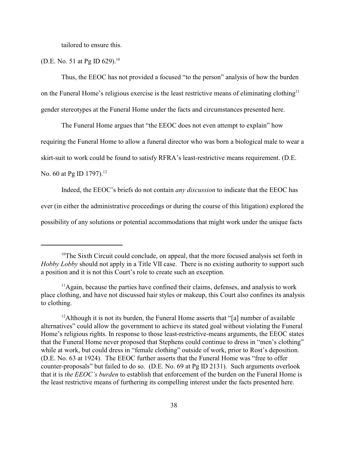tailored to ensure this.

### (D.E. No. 51 at Pg ID 629).<sup>10</sup>

Thus, the EEOC has not provided a focused "to the person" analysis of how the burden on the Funeral Home's religious exercise is the least restrictive means of eliminating clothing<sup>11</sup> gender stereotypes at the Funeral Home under the facts and circumstances presented here.

The Funeral Home argues that "the EEOC does not even attempt to explain" how

requiring the Funeral Home to allow a funeral director who was born a biological male to wear a

skirt-suit to work could be found to satisfy RFRA's least-restrictive means requirement. (D.E.

No. 60 at Pg ID 1797).<sup>12</sup>

Indeed, the EEOC's briefs do not contain *any discussion* to indicate that the EEOC has

ever (in either the administrative proceedings or during the course of this litigation) explored the

possibility of any solutions or potential accommodations that might work under the unique facts

 $10$ <sup>10</sup>The Sixth Circuit could conclude, on appeal, that the more focused analysis set forth in *Hobby Lobby* should not apply in a Title VII case. There is no existing authority to support such a position and it is not this Court's role to create such an exception.

 $<sup>11</sup>$ Again, because the parties have confined their claims, defenses, and analysis to work</sup> place clothing, and have not discussed hair styles or makeup, this Court also confines its analysis to clothing.

<sup>&</sup>lt;sup>12</sup> Although it is not its burden, the Funeral Home asserts that "[a] number of available alternatives" could allow the government to achieve its stated goal without violating the Funeral Home's religious rights. In response to those least-restrictive-means arguments, the EEOC states that the Funeral Home never proposed that Stephens could continue to dress in "men's clothing" while at work, but could dress in "female clothing" outside of work, prior to Rost's deposition. (D.E. No. 63 at 1924). The EEOC further asserts that the Funeral Home was "free to offer counter-proposals" but failed to do so. (D.E. No. 69 at Pg ID 2131). Such arguments overlook that it is *the EEOC's burden* to establish that enforcement of the burden on the Funeral Home is the least restrictive means of furthering its compelling interest under the facts presented here.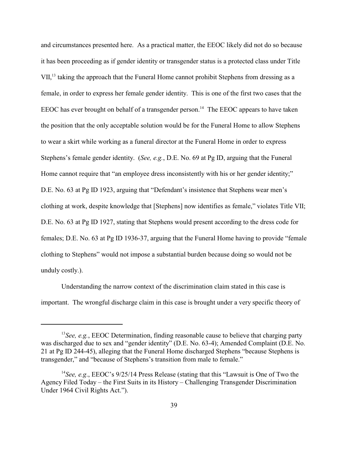and circumstances presented here. As a practical matter, the EEOC likely did not do so because it has been proceeding as if gender identity or transgender status is a protected class under Title VII,<sup>13</sup> taking the approach that the Funeral Home cannot prohibit Stephens from dressing as a female, in order to express her female gender identity. This is one of the first two cases that the EEOC has ever brought on behalf of a transgender person.<sup>14</sup> The EEOC appears to have taken the position that the only acceptable solution would be for the Funeral Home to allow Stephens to wear a skirt while working as a funeral director at the Funeral Home in order to express Stephens's female gender identity. (*See, e.g.*, D.E. No. 69 at Pg ID, arguing that the Funeral Home cannot require that "an employee dress inconsistently with his or her gender identity;" D.E. No. 63 at Pg ID 1923, arguing that "Defendant's insistence that Stephens wear men's clothing at work, despite knowledge that [Stephens] now identifies as female," violates Title VII; D.E. No. 63 at Pg ID 1927, stating that Stephens would present according to the dress code for females; D.E. No. 63 at Pg ID 1936-37, arguing that the Funeral Home having to provide "female clothing to Stephens" would not impose a substantial burden because doing so would not be unduly costly.).

Understanding the narrow context of the discrimination claim stated in this case is important. The wrongful discharge claim in this case is brought under a very specific theory of

 $<sup>13</sup>$ See, e.g., EEOC Determination, finding reasonable cause to believe that charging party</sup> was discharged due to sex and "gender identity" (D.E. No. 63-4); Amended Complaint (D.E. No. 21 at Pg ID 244-45), alleging that the Funeral Home discharged Stephens "because Stephens is transgender," and "because of Stephens's transition from male to female."

<sup>&</sup>lt;sup>14</sup> See, e.g., EEOC's 9/25/14 Press Release (stating that this "Lawsuit is One of Two the Agency Filed Today – the First Suits in its History – Challenging Transgender Discrimination Under 1964 Civil Rights Act.").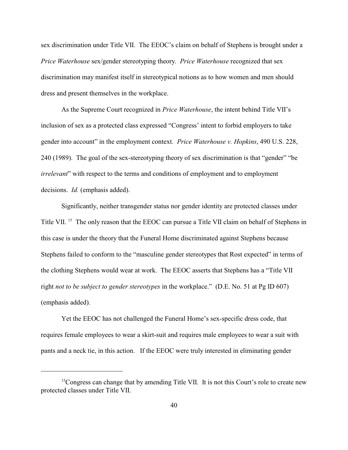sex discrimination under Title VII. The EEOC's claim on behalf of Stephens is brought under a *Price Waterhouse* sex/gender stereotyping theory. *Price Waterhouse* recognized that sex discrimination may manifest itself in stereotypical notions as to how women and men should dress and present themselves in the workplace.

As the Supreme Court recognized in *Price Waterhouse*, the intent behind Title VII's inclusion of sex as a protected class expressed "Congress' intent to forbid employers to take gender into account" in the employment context. *Price Waterhouse v. Hopkins*, 490 U.S. 228, 240 (1989). The goal of the sex-stereotyping theory of sex discrimination is that "gender" "be *irrelevant*" with respect to the terms and conditions of employment and to employment decisions. *Id.* (emphasis added).

Significantly, neither transgender status nor gender identity are protected classes under Title VII.<sup>15</sup> The only reason that the EEOC can pursue a Title VII claim on behalf of Stephens in this case is under the theory that the Funeral Home discriminated against Stephens because Stephens failed to conform to the "masculine gender stereotypes that Rost expected" in terms of the clothing Stephens would wear at work. The EEOC asserts that Stephens has a "Title VII right *not to be subject to gender stereotypes* in the workplace." (D.E. No. 51 at Pg ID 607) (emphasis added).

Yet the EEOC has not challenged the Funeral Home's sex-specific dress code, that requires female employees to wear a skirt-suit and requires male employees to wear a suit with pants and a neck tie, in this action. If the EEOC were truly interested in eliminating gender

<sup>&</sup>lt;sup>15</sup>Congress can change that by amending Title VII. It is not this Court's role to create new protected classes under Title VII.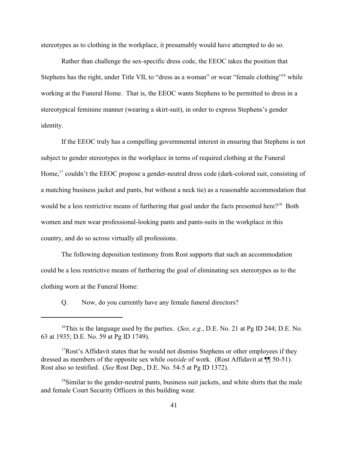stereotypes as to clothing in the workplace, it presumably would have attempted to do so.

Rather than challenge the sex-specific dress code, the EEOC takes the position that Stephens has the right, under Title VII, to "dress as a woman" or wear "female clothing"<sup>16</sup> while working at the Funeral Home. That is, the EEOC wants Stephens to be permitted to dress in a stereotypical feminine manner (wearing a skirt-suit), in order to express Stephens's gender identity.

If the EEOC truly has a compelling governmental interest in ensuring that Stephens is not subject to gender stereotypes in the workplace in terms of required clothing at the Funeral Home,<sup>17</sup> couldn't the EEOC propose a gender-neutral dress code (dark-colored suit, consisting of a matching business jacket and pants, but without a neck tie) as a reasonable accommodation that would be a less restrictive means of furthering that goal under the facts presented here?<sup>18</sup> Both women and men wear professional-looking pants and pants-suits in the workplace in this country, and do so across virtually all professions.

The following deposition testimony from Rost supports that such an accommodation could be a less restrictive means of furthering the goal of eliminating sex stereotypes as to the clothing worn at the Funeral Home:

Q. Now, do you currently have any female funeral directors?

<sup>&</sup>lt;sup>16</sup>This is the language used by the parties. (*See, e.g.*, D.E. No. 21 at Pg ID 244; D.E. No. 63 at 1935; D.E. No. 59 at Pg ID 1749).

<sup>&</sup>lt;sup>17</sup>Rost's Affidavit states that he would not dismiss Stephens or other employees if they dressed as members of the opposite sex while *outside* of work. (Rost Affidavit at ¶¶ 50-51). Rost also so testified. (*See* Rost Dep., D.E. No. 54-5 at Pg ID 1372).

 $^{18}$ Similar to the gender-neutral pants, business suit jackets, and white shirts that the male and female Court Security Officers in this building wear.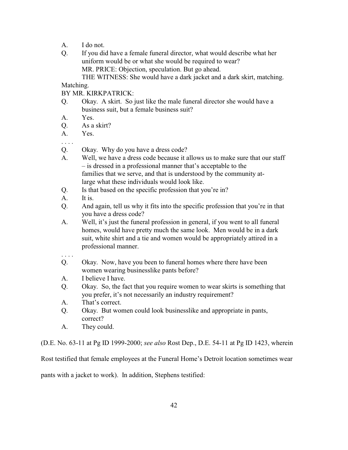- A. I do not.
- Q. If you did have a female funeral director, what would describe what her uniform would be or what she would be required to wear? MR. PRICE: Objection, speculation. But go ahead.

THE WITNESS: She would have a dark jacket and a dark skirt, matching.

# Matching.

BY MR. KIRKPATRICK:

- Q. Okay. A skirt. So just like the male funeral director she would have a business suit, but a female business suit?
- A. Yes.
- Q. As a skirt?
- A. Yes.
- . . . .
- Q. Okay. Why do you have a dress code?
- A. Well, we have a dress code because it allows us to make sure that our staff – is dressed in a professional manner that's acceptable to the families that we serve, and that is understood by the community atlarge what these individuals would look like.
- Q. Is that based on the specific profession that you're in?
- A. It is.
- Q. And again, tell us why it fits into the specific profession that you're in that you have a dress code?
- A. Well, it's just the funeral profession in general, if you went to all funeral homes, would have pretty much the same look. Men would be in a dark suit, white shirt and a tie and women would be appropriately attired in a professional manner.
- . . . .
- Q. Okay. Now, have you been to funeral homes where there have been women wearing businesslike pants before?
- A. I believe I have.
- Q. Okay. So, the fact that you require women to wear skirts is something that you prefer, it's not necessarily an industry requirement?
- A. That's correct.
- Q. Okay. But women could look businesslike and appropriate in pants, correct?
- A. They could.

(D.E. No. 63-11 at Pg ID 1999-2000; *see also* Rost Dep., D.E. 54-11 at Pg ID 1423, wherein

Rost testified that female employees at the Funeral Home's Detroit location sometimes wear

pants with a jacket to work). In addition, Stephens testified: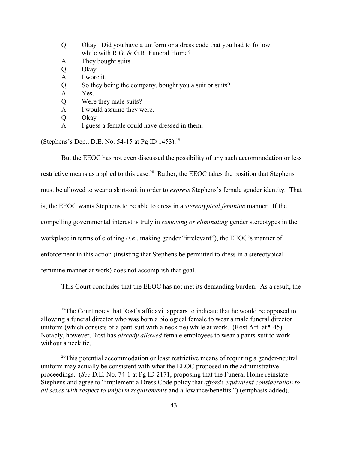- Q. Okay. Did you have a uniform or a dress code that you had to follow while with R.G. & G.R. Funeral Home?
- A. They bought suits.
- Q. Okay.
- A. I wore it.
- Q. So they being the company, bought you a suit or suits?
- A. Yes.
- Q. Were they male suits?
- A. I would assume they were.
- Q. Okay.
- A. I guess a female could have dressed in them.

(Stephens's Dep., D.E. No. 54-15 at Pg ID 1453).<sup>19</sup>

But the EEOC has not even discussed the possibility of any such accommodation or less restrictive means as applied to this case.<sup>20</sup> Rather, the EEOC takes the position that Stephens must be allowed to wear a skirt-suit in order to *express* Stephens's female gender identity. That is, the EEOC wants Stephens to be able to dress in a *stereotypical feminine* manner. If the compelling governmental interest is truly in *removing or eliminating* gender stereotypes in the workplace in terms of clothing (*i.e*., making gender "irrelevant"), the EEOC's manner of enforcement in this action (insisting that Stephens be permitted to dress in a stereotypical feminine manner at work) does not accomplish that goal.

This Court concludes that the EEOC has not met its demanding burden. As a result, the

<sup>&</sup>lt;sup>19</sup>The Court notes that Rost's affidavit appears to indicate that he would be opposed to allowing a funeral director who was born a biological female to wear a male funeral director uniform (which consists of a pant-suit with a neck tie) while at work. (Rost Aff. at  $\P$  45). Notably, however, Rost has *already allowed* female employees to wear a pants-suit to work without a neck tie.

 $20$ <sup>20</sup>This potential accommodation or least restrictive means of requiring a gender-neutral uniform may actually be consistent with what the EEOC proposed in the administrative proceedings. (*See* D.E. No. 74-1 at Pg ID 2171, proposing that the Funeral Home reinstate Stephens and agree to "implement a Dress Code policy that *affords equivalent consideration to all sexes with respect to uniform requirements* and allowance/benefits.") (emphasis added).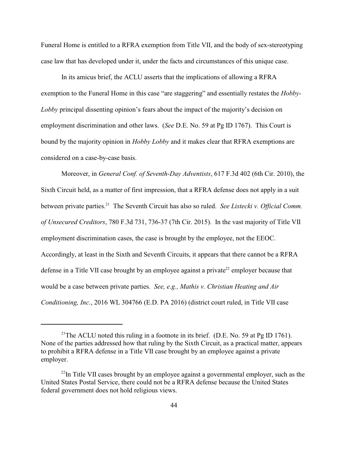Funeral Home is entitled to a RFRA exemption from Title VII, and the body of sex-stereotyping case law that has developed under it, under the facts and circumstances of this unique case.

In its amicus brief, the ACLU asserts that the implications of allowing a RFRA exemption to the Funeral Home in this case "are staggering" and essentially restates the *Hobby-Lobby* principal dissenting opinion's fears about the impact of the majority's decision on employment discrimination and other laws. (*See* D.E. No. 59 at Pg ID 1767). This Court is bound by the majority opinion in *Hobby Lobby* and it makes clear that RFRA exemptions are considered on a case-by-case basis.

Moreover, in *General Conf. of Seventh-Day Adventists*, 617 F.3d 402 (6th Cir. 2010), the Sixth Circuit held, as a matter of first impression, that a RFRA defense does not apply in a suit between private parties.<sup>21</sup> The Seventh Circuit has also so ruled. *See Listecki v. Official Comm. of Unsecured Creditors*, 780 F.3d 731, 736-37 (7th Cir. 2015). In the vast majority of Title VII employment discrimination cases, the case is brought by the employee, not the EEOC. Accordingly, at least in the Sixth and Seventh Circuits, it appears that there cannot be a RFRA defense in a Title VII case brought by an employee against a private<sup>22</sup> employer because that would be a case between private parties. *See, e.g., Mathis v. Christian Heating and Air Conditioning, Inc.*, 2016 WL 304766 (E.D. PA 2016) (district court ruled, in Title VII case

<sup>&</sup>lt;sup>21</sup>The ACLU noted this ruling in a footnote in its brief. (D.E. No. 59 at Pg ID 1761). None of the parties addressed how that ruling by the Sixth Circuit, as a practical matter, appears to prohibit a RFRA defense in a Title VII case brought by an employee against a private employer.

 $^{22}$ In Title VII cases brought by an employee against a governmental employer, such as the United States Postal Service, there could not be a RFRA defense because the United States federal government does not hold religious views.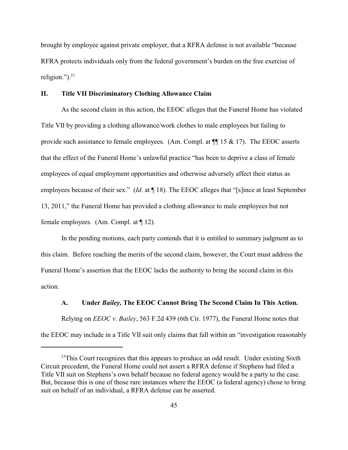brought by employee against private employer, that a RFRA defense is not available "because RFRA protects individuals only from the federal government's burden on the free exercise of religion."). $^{23}$ 

# **II. Title VII Discriminatory Clothing Allowance Claim**

As the second claim in this action, the EEOC alleges that the Funeral Home has violated Title VII by providing a clothing allowance/work clothes to male employees but failing to provide such assistance to female employees. (Am. Compl. at  $\P$  15 & 17). The EEOC asserts that the effect of the Funeral Home's unlawful practice "has been to deprive a class of female employees of equal employment opportunities and otherwise adversely affect their status as employees because of their sex." (*Id*. at ¶ 18). The EEOC alleges that "[s]ince at least September 13, 2011," the Funeral Home has provided a clothing allowance to male employees but not female employees. (Am. Compl. at ¶ 12).

In the pending motions, each party contends that it is entitled to summary judgment as to this claim. Before reaching the merits of the second claim, however, the Court must address the Funeral Home's assertion that the EEOC lacks the authority to bring the second claim in this action.

#### **A. Under** *Bailey,* **The EEOC Cannot Bring The Second Claim In This Action.**

Relying on *EEOC v. Bailey*, 563 F.2d 439 (6th Cir. 1977), the Funeral Home notes that the EEOC may include in a Title VII suit only claims that fall within an "investigation reasonably

 $23$ This Court recognizes that this appears to produce an odd result. Under existing Sixth Circuit precedent, the Funeral Home could not assert a RFRA defense if Stephens had filed a Title VII suit on Stephens's own behalf because no federal agency would be a party to the case. But, because this is one of those rare instances where the EEOC (a federal agency) chose to bring suit on behalf of an individual, a RFRA defense can be asserted.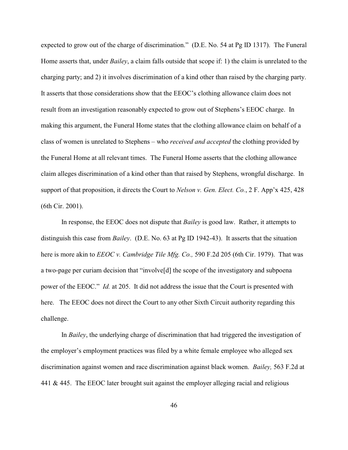expected to grow out of the charge of discrimination." (D.E. No. 54 at Pg ID 1317). The Funeral Home asserts that, under *Bailey*, a claim falls outside that scope if: 1) the claim is unrelated to the charging party; and 2) it involves discrimination of a kind other than raised by the charging party. It asserts that those considerations show that the EEOC's clothing allowance claim does not result from an investigation reasonably expected to grow out of Stephens's EEOC charge. In making this argument, the Funeral Home states that the clothing allowance claim on behalf of a class of women is unrelated to Stephens – who *received and accepted* the clothing provided by the Funeral Home at all relevant times. The Funeral Home asserts that the clothing allowance claim alleges discrimination of a kind other than that raised by Stephens, wrongful discharge. In support of that proposition, it directs the Court to *Nelson v. Gen. Elect. Co.*, 2 F. App'x 425, 428 (6th Cir. 2001).

In response, the EEOC does not dispute that *Bailey* is good law. Rather, it attempts to distinguish this case from *Bailey*. (D.E. No. 63 at Pg ID 1942-43). It asserts that the situation here is more akin to *EEOC v. Cambridge Tile Mfg. Co.,* 590 F.2d 205 (6th Cir. 1979). That was a two-page per curiam decision that "involve[d] the scope of the investigatory and subpoena power of the EEOC." *Id.* at 205. It did not address the issue that the Court is presented with here. The EEOC does not direct the Court to any other Sixth Circuit authority regarding this challenge.

In *Bailey*, the underlying charge of discrimination that had triggered the investigation of the employer's employment practices was filed by a white female employee who alleged sex discrimination against women and race discrimination against black women. *Bailey,* 563 F.2d at 441 & 445. The EEOC later brought suit against the employer alleging racial and religious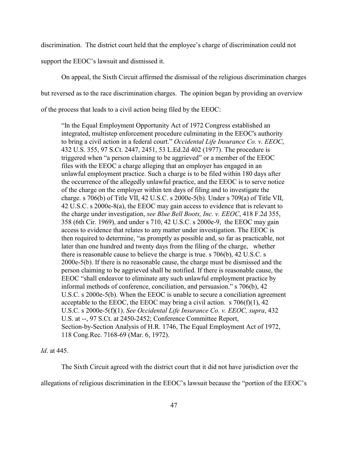discrimination. The district court held that the employee's charge of discrimination could not

support the EEOC's lawsuit and dismissed it.

On appeal, the Sixth Circuit affirmed the dismissal of the religious discrimination charges but reversed as to the race discrimination charges. The opinion began by providing an overview of the process that leads to a civil action being filed by the EEOC:

"In the Equal Employment Opportunity Act of 1972 Congress established an integrated, multistep enforcement procedure culminating in the EEOC's authority to bring a civil action in a federal court." *Occidental Life Insurance Co. v. EEOC*, 432 U.S. 355, 97 S.Ct. 2447, 2451, 53 L.Ed.2d 402 (1977). The procedure is triggered when "a person claiming to be aggrieved" or a member of the EEOC files with the EEOC a charge alleging that an employer has engaged in an unlawful employment practice. Such a charge is to be filed within 180 days after the occurrence of the allegedly unlawful practice, and the EEOC is to serve notice of the charge on the employer within ten days of filing and to investigate the charge. s 706(b) of Title VII, 42 U.S.C. s 2000e-5(b). Under s 709(a) of Title VII, 42 U.S.C. s 2000e-8(a), the EEOC may gain access to evidence that is relevant to the charge under investigation, *see Blue Bell Boots, Inc. v. EEOC*, 418 F.2d 355, 358 (6th Cir. 1969), and under s 710, 42 U.S.C. s 2000e-9, the EEOC may gain access to evidence that relates to any matter under investigation. The EEOC is then required to determine, "as promptly as possible and, so far as practicable, not later than one hundred and twenty days from the filing of the charge, whether there is reasonable cause to believe the charge is true. s 706(b), 42 U.S.C. s 2000e-5(b). If there is no reasonable cause, the charge must be dismissed and the person claiming to be aggrieved shall be notified. If there is reasonable cause, the EEOC "shall endeavor to eliminate any such unlawful employment practice by informal methods of conference, conciliation, and persuasion." s 706(b), 42 U.S.C. s 2000e-5(b). When the EEOC is unable to secure a conciliation agreement acceptable to the EEOC, the EEOC may bring a civil action. s  $706(f)(1)$ , 42 U.S.C. s 2000e-5(f)(1). *See Occidental Life Insurance Co. v. EEOC, supra*, 432 U.S. at --, 97 S.Ct. at 2450-2452; Conference Committee Report, Section-by-Section Analysis of H.R. 1746, The Equal Employment Act of 1972, 118 Cong.Rec. 7168-69 (Mar. 6, 1972).

*Id*. at 445.

The Sixth Circuit agreed with the district court that it did not have jurisdiction over the allegations of religious discrimination in the EEOC's lawsuit because the "portion of the EEOC's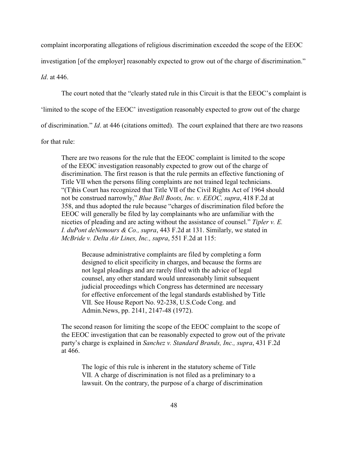complaint incorporating allegations of religious discrimination exceeded the scope of the EEOC

investigation [of the employer] reasonably expected to grow out of the charge of discrimination."

*Id*. at 446.

The court noted that the "clearly stated rule in this Circuit is that the EEOC's complaint is

'limited to the scope of the EEOC' investigation reasonably expected to grow out of the charge

of discrimination." *Id*. at 446 (citations omitted). The court explained that there are two reasons

for that rule:

There are two reasons for the rule that the EEOC complaint is limited to the scope of the EEOC investigation reasonably expected to grow out of the charge of discrimination. The first reason is that the rule permits an effective functioning of Title VII when the persons filing complaints are not trained legal technicians. "(T)his Court has recognized that Title VII of the Civil Rights Act of 1964 should not be construed narrowly," *Blue Bell Boots, Inc. v. EEOC, supra*, 418 F.2d at 358, and thus adopted the rule because "charges of discrimination filed before the EEOC will generally be filed by lay complainants who are unfamiliar with the niceties of pleading and are acting without the assistance of counsel." *Tipler v. E. I. duPont deNemours & Co., supra*, 443 F.2d at 131. Similarly, we stated in *McBride v. Delta Air Lines, Inc., supra*, 551 F.2d at 115:

Because administrative complaints are filed by completing a form designed to elicit specificity in charges, and because the forms are not legal pleadings and are rarely filed with the advice of legal counsel, any other standard would unreasonably limit subsequent judicial proceedings which Congress has determined are necessary for effective enforcement of the legal standards established by Title VII. See House Report No. 92-238, U.S.Code Cong. and Admin.News, pp. 2141, 2147-48 (1972).

The second reason for limiting the scope of the EEOC complaint to the scope of the EEOC investigation that can be reasonably expected to grow out of the private party's charge is explained in *Sanchez v. Standard Brands, Inc., supra*, 431 F.2d at 466.

The logic of this rule is inherent in the statutory scheme of Title VII. A charge of discrimination is not filed as a preliminary to a lawsuit. On the contrary, the purpose of a charge of discrimination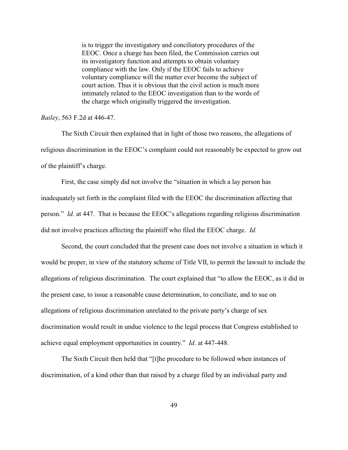is to trigger the investigatory and conciliatory procedures of the EEOC. Once a charge has been filed, the Commission carries out its investigatory function and attempts to obtain voluntary compliance with the law. Only if the EEOC fails to achieve voluntary compliance will the matter ever become the subject of court action. Thus it is obvious that the civil action is much more intimately related to the EEOC investigation than to the words of the charge which originally triggered the investigation.

### *Bailey*, 563 F.2d at 446-47.

The Sixth Circuit then explained that in light of those two reasons, the allegations of religious discrimination in the EEOC's complaint could not reasonably be expected to grow out of the plaintiff's charge.

First, the case simply did not involve the "situation in which a lay person has inadequately set forth in the complaint filed with the EEOC the discrimination affecting that person." *Id.* at 447. That is because the EEOC's allegations regarding religious discrimination did not involve practices affecting the plaintiff who filed the EEOC charge. *Id.*

Second, the court concluded that the present case does not involve a situation in which it would be proper, in view of the statutory scheme of Title VII, to permit the lawsuit to include the allegations of religious discrimination. The court explained that "to allow the EEOC, as it did in the present case, to issue a reasonable cause determination, to conciliate, and to sue on allegations of religious discrimination unrelated to the private party's charge of sex discrimination would result in undue violence to the legal process that Congress established to achieve equal employment opportunities in country." *Id*. at 447-448.

The Sixth Circuit then held that "[t]he procedure to be followed when instances of discrimination, of a kind other than that raised by a charge filed by an individual party and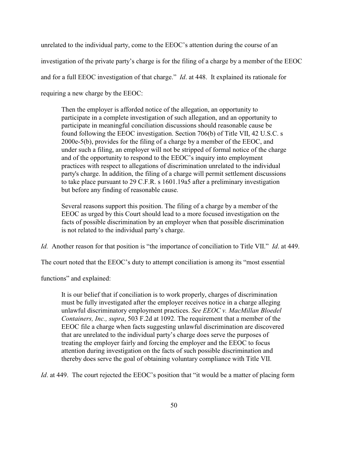unrelated to the individual party, come to the EEOC's attention during the course of an investigation of the private party's charge is for the filing of a charge by a member of the EEOC and for a full EEOC investigation of that charge." *Id*. at 448. It explained its rationale for requiring a new charge by the EEOC:

Then the employer is afforded notice of the allegation, an opportunity to participate in a complete investigation of such allegation, and an opportunity to participate in meaningful conciliation discussions should reasonable cause be found following the EEOC investigation. Section 706(b) of Title VII, 42 U.S.C. s 2000e-5(b), provides for the filing of a charge by a member of the EEOC, and under such a filing, an employer will not be stripped of formal notice of the charge and of the opportunity to respond to the EEOC's inquiry into employment practices with respect to allegations of discrimination unrelated to the individual party's charge. In addition, the filing of a charge will permit settlement discussions to take place pursuant to 29 C.F.R. s 1601.19a5 after a preliminary investigation but before any finding of reasonable cause.

Several reasons support this position. The filing of a charge by a member of the EEOC as urged by this Court should lead to a more focused investigation on the facts of possible discrimination by an employer when that possible discrimination is not related to the individual party's charge.

*Id.* Another reason for that position is "the importance of conciliation to Title VII." *Id*. at 449.

The court noted that the EEOC's duty to attempt conciliation is among its "most essential

functions" and explained:

It is our belief that if conciliation is to work properly, charges of discrimination must be fully investigated after the employer receives notice in a charge alleging unlawful discriminatory employment practices. *See EEOC v. MacMillan Bloedel Containers, Inc., supra*, 503 F.2d at 1092. The requirement that a member of the EEOC file a charge when facts suggesting unlawful discrimination are discovered that are unrelated to the individual party's charge does serve the purposes of treating the employer fairly and forcing the employer and the EEOC to focus attention during investigation on the facts of such possible discrimination and thereby does serve the goal of obtaining voluntary compliance with Title VII.

*Id.* at 449. The court rejected the EEOC's position that "it would be a matter of placing form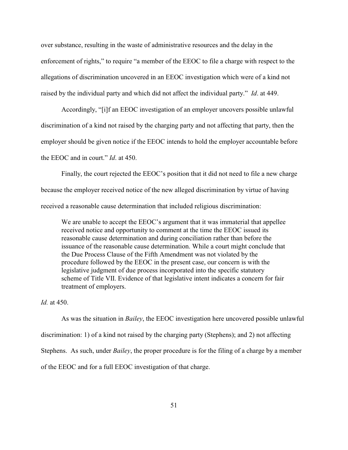over substance, resulting in the waste of administrative resources and the delay in the enforcement of rights," to require "a member of the EEOC to file a charge with respect to the allegations of discrimination uncovered in an EEOC investigation which were of a kind not raised by the individual party and which did not affect the individual party." *Id*. at 449.

Accordingly, "[i]f an EEOC investigation of an employer uncovers possible unlawful discrimination of a kind not raised by the charging party and not affecting that party, then the employer should be given notice if the EEOC intends to hold the employer accountable before the EEOC and in court." *Id.* at 450.

Finally, the court rejected the EEOC's position that it did not need to file a new charge because the employer received notice of the new alleged discrimination by virtue of having received a reasonable cause determination that included religious discrimination:

We are unable to accept the EEOC's argument that it was immaterial that appellee received notice and opportunity to comment at the time the EEOC issued its reasonable cause determination and during conciliation rather than before the issuance of the reasonable cause determination. While a court might conclude that the Due Process Clause of the Fifth Amendment was not violated by the procedure followed by the EEOC in the present case, our concern is with the legislative judgment of due process incorporated into the specific statutory scheme of Title VII. Evidence of that legislative intent indicates a concern for fair treatment of employers.

*Id.* at 450.

As was the situation in *Bailey*, the EEOC investigation here uncovered possible unlawful discrimination: 1) of a kind not raised by the charging party (Stephens); and 2) not affecting Stephens. As such, under *Bailey*, the proper procedure is for the filing of a charge by a member of the EEOC and for a full EEOC investigation of that charge.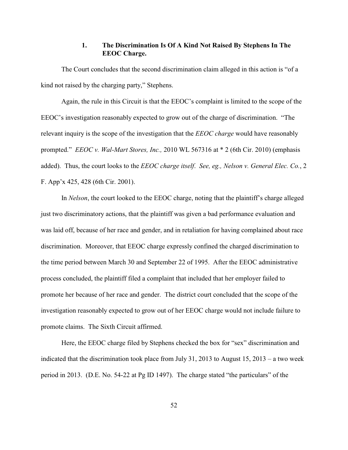# **1. The Discrimination Is Of A Kind Not Raised By Stephens In The EEOC Charge.**

The Court concludes that the second discrimination claim alleged in this action is "of a kind not raised by the charging party," Stephens.

Again, the rule in this Circuit is that the EEOC's complaint is limited to the scope of the EEOC's investigation reasonably expected to grow out of the charge of discrimination. "The relevant inquiry is the scope of the investigation that the *EEOC charge* would have reasonably prompted." *EEOC v. Wal-Mart Stores, Inc.,* 2010 WL 567316 at \* 2 (6th Cir. 2010) (emphasis added). Thus, the court looks to the *EEOC charge itself*. *See, eg., Nelson v. General Elec. Co.*, 2 F. App'x 425, 428 (6th Cir. 2001).

In *Nelson*, the court looked to the EEOC charge, noting that the plaintiff's charge alleged just two discriminatory actions, that the plaintiff was given a bad performance evaluation and was laid off, because of her race and gender, and in retaliation for having complained about race discrimination. Moreover, that EEOC charge expressly confined the charged discrimination to the time period between March 30 and September 22 of 1995. After the EEOC administrative process concluded, the plaintiff filed a complaint that included that her employer failed to promote her because of her race and gender. The district court concluded that the scope of the investigation reasonably expected to grow out of her EEOC charge would not include failure to promote claims. The Sixth Circuit affirmed.

Here, the EEOC charge filed by Stephens checked the box for "sex" discrimination and indicated that the discrimination took place from July 31, 2013 to August  $15$ , 2013 – a two week period in 2013. (D.E. No. 54-22 at Pg ID 1497). The charge stated "the particulars" of the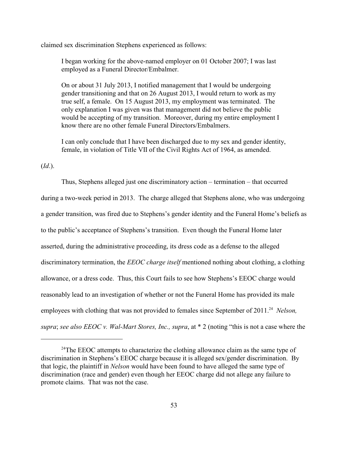claimed sex discrimination Stephens experienced as follows:

I began working for the above-named employer on 01 October 2007; I was last employed as a Funeral Director/Embalmer.

On or about 31 July 2013, I notified management that I would be undergoing gender transitioning and that on 26 August 2013, I would return to work as my true self, a female. On 15 August 2013, my employment was terminated. The only explanation I was given was that management did not believe the public would be accepting of my transition. Moreover, during my entire employment I know there are no other female Funeral Directors/Embalmers.

I can only conclude that I have been discharged due to my sex and gender identity, female, in violation of Title VII of the Civil Rights Act of 1964, as amended.

(*Id*.).

Thus, Stephens alleged just one discriminatory action – termination – that occurred during a two-week period in 2013. The charge alleged that Stephens alone, who was undergoing a gender transition, was fired due to Stephens's gender identity and the Funeral Home's beliefs as to the public's acceptance of Stephens's transition. Even though the Funeral Home later asserted, during the administrative proceeding, its dress code as a defense to the alleged discriminatory termination, the *EEOC charge itself* mentioned nothing about clothing, a clothing allowance, or a dress code. Thus, this Court fails to see how Stephens's EEOC charge would reasonably lead to an investigation of whether or not the Funeral Home has provided its male employees with clothing that was not provided to females since September of 2011.<sup>24</sup> Nelson, *supra*; *see also EEOC v. Wal-Mart Stores, Inc., supra*, at \* 2 (noting "this is not a case where the

 $24$ The EEOC attempts to characterize the clothing allowance claim as the same type of discrimination in Stephens's EEOC charge because it is alleged sex/gender discrimination. By that logic, the plaintiff in *Nelson* would have been found to have alleged the same type of discrimination (race and gender) even though her EEOC charge did not allege any failure to promote claims. That was not the case.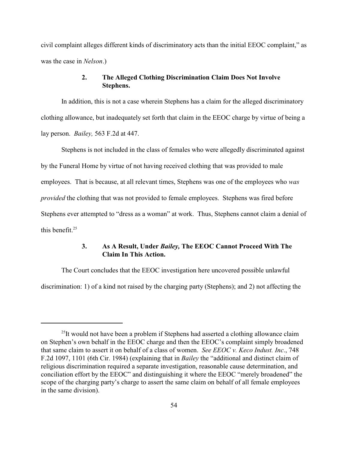civil complaint alleges different kinds of discriminatory acts than the initial EEOC complaint," as was the case in *Nelson*.)

# **2. The Alleged Clothing Discrimination Claim Does Not Involve Stephens.**

In addition, this is not a case wherein Stephens has a claim for the alleged discriminatory clothing allowance, but inadequately set forth that claim in the EEOC charge by virtue of being a lay person. *Bailey,* 563 F.2d at 447.

Stephens is not included in the class of females who were allegedly discriminated against by the Funeral Home by virtue of not having received clothing that was provided to male employees. That is because, at all relevant times, Stephens was one of the employees who *was provided* the clothing that was not provided to female employees. Stephens was fired before Stephens ever attempted to "dress as a woman" at work. Thus, Stephens cannot claim a denial of this benefit. $25$ 

# **3. As A Result, Under** *Bailey,* **The EEOC Cannot Proceed With The Claim In This Action.**

The Court concludes that the EEOC investigation here uncovered possible unlawful discrimination: 1) of a kind not raised by the charging party (Stephens); and 2) not affecting the

 $^{25}$ It would not have been a problem if Stephens had asserted a clothing allowance claim on Stephen's own behalf in the EEOC charge and then the EEOC's complaint simply broadened that same claim to assert it on behalf of a class of women. *See EEOC v. Keco Indust. Inc*., 748 F.2d 1097, 1101 (6th Cir. 1984) (explaining that in *Bailey* the "additional and distinct claim of religious discrimination required a separate investigation, reasonable cause determination, and conciliation effort by the EEOC" and distinguishing it where the EEOC "merely broadened" the scope of the charging party's charge to assert the same claim on behalf of all female employees in the same division).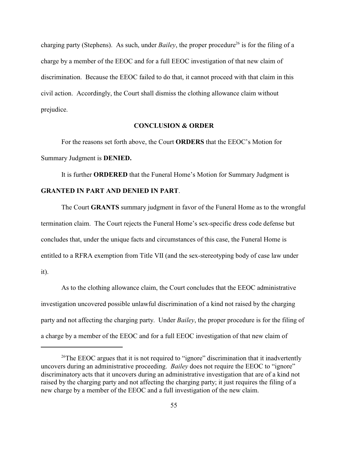charging party (Stephens). As such, under *Bailey*, the proper procedure<sup>26</sup> is for the filing of a charge by a member of the EEOC and for a full EEOC investigation of that new claim of discrimination. Because the EEOC failed to do that, it cannot proceed with that claim in this civil action. Accordingly, the Court shall dismiss the clothing allowance claim without prejudice.

# **CONCLUSION & ORDER**

For the reasons set forth above, the Court **ORDERS** that the EEOC's Motion for Summary Judgment is **DENIED.**

It is further **ORDERED** that the Funeral Home's Motion for Summary Judgment is **GRANTED IN PART AND DENIED IN PART**.

The Court **GRANTS** summary judgment in favor of the Funeral Home as to the wrongful termination claim. The Court rejects the Funeral Home's sex-specific dress code defense but concludes that, under the unique facts and circumstances of this case, the Funeral Home is entitled to a RFRA exemption from Title VII (and the sex-stereotyping body of case law under it).

As to the clothing allowance claim, the Court concludes that the EEOC administrative investigation uncovered possible unlawful discrimination of a kind not raised by the charging party and not affecting the charging party. Under *Bailey*, the proper procedure is for the filing of a charge by a member of the EEOC and for a full EEOC investigation of that new claim of

<sup>&</sup>lt;sup>26</sup>The EEOC argues that it is not required to "ignore" discrimination that it inadvertently uncovers during an administrative proceeding. *Bailey* does not require the EEOC to "ignore" discriminatory acts that it uncovers during an administrative investigation that are of a kind not raised by the charging party and not affecting the charging party; it just requires the filing of a new charge by a member of the EEOC and a full investigation of the new claim.